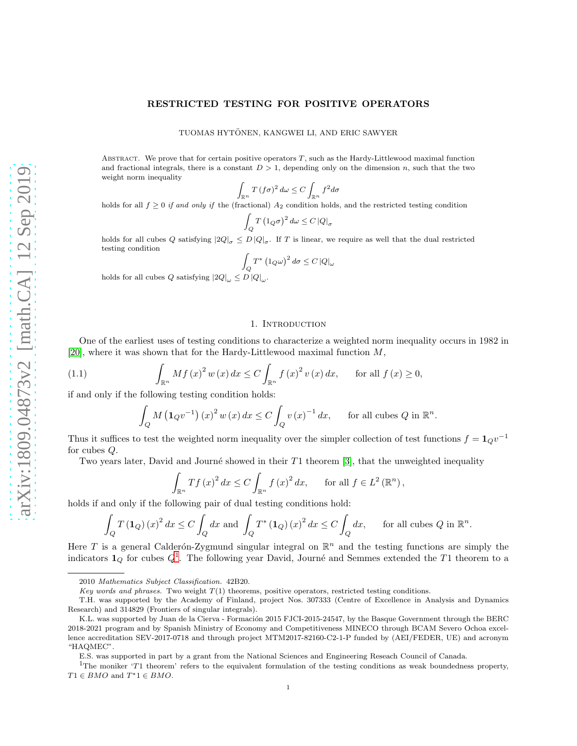# RESTRICTED TESTING FOR POSITIVE OPERATORS

TUOMAS HYTONEN, KANGWEI LI, AND ERIC SAWYER ¨

ABSTRACT. We prove that for certain positive operators  $T$ , such as the Hardy-Littlewood maximal function and fractional integrals, there is a constant  $D > 1$ , depending only on the dimension n, such that the two weight norm inequality

$$
\int_{\mathbb{R}^n} T(f\sigma)^2 d\omega \le C \int_{\mathbb{R}^n} f^2 d\sigma
$$

holds for all  $f \geq 0$  *if and only if* the (fractional)  $A_2$  condition holds, and the restricted testing condition

$$
\int_{Q} T \left( 1_{Q} \sigma \right)^{2} d\omega \leq C \left| Q \right|_{\sigma}
$$

holds for all cubes Q satisfying  $|2Q|_{\sigma} \leq D |Q|_{\sigma}$ . If T is linear, we require as well that the dual restricted testing condition

$$
\int_{Q} T^* \left( 1_{Q}\omega \right)^2 d\sigma \leq C \left|Q\right|_{\omega}
$$

holds for all cubes Q satisfying  $|2Q|_{\omega} \le D |Q|_{\omega}$ .

#### 1. INTRODUCTION

One of the earliest uses of testing conditions to characterize a weighted norm inequality occurs in 1982 in [\[20\]](#page-16-0), where it was shown that for the Hardy-Littlewood maximal function M,

(1.1) 
$$
\int_{\mathbb{R}^n} Mf(x)^2 w(x) dx \leq C \int_{\mathbb{R}^n} f(x)^2 v(x) dx, \quad \text{for all } f(x) \geq 0,
$$

if and only if the following testing condition holds:

<span id="page-0-1"></span>
$$
\int_{Q} M\left(\mathbf{1}_{Q}v^{-1}\right)(x)^{2} w\left(x\right) dx \le C \int_{Q} v\left(x\right)^{-1} dx, \quad \text{for all cubes } Q \text{ in } \mathbb{R}^{n}
$$

.

Thus it suffices to test the weighted norm inequality over the simpler collection of test functions  $f = \mathbf{1}_Q v^{-1}$ for cubes Q.

Two years later, David and Journé showed in their  $T_1$  theorem [\[3\]](#page-16-1), that the unweighted inequality

$$
\int_{\mathbb{R}^n} Tf(x)^2 dx \le C \int_{\mathbb{R}^n} f(x)^2 dx, \quad \text{for all } f \in L^2(\mathbb{R}^n),
$$

holds if and only if the following pair of dual testing conditions hold:

$$
\int_{Q} T\left(\mathbf{1}_{Q}\right)\left(x\right)^{2} dx \le C \int_{Q} dx \text{ and } \int_{Q} T^{*}\left(\mathbf{1}_{Q}\right)\left(x\right)^{2} dx \le C \int_{Q} dx, \quad \text{ for all cubes } Q \text{ in } \mathbb{R}^{n}.
$$

Here T is a general Calderón-Zygmund singular integral on  $\mathbb{R}^n$  and the testing functions are simply the indicators  $\mathbf{1}_Q$  $\mathbf{1}_Q$  $\mathbf{1}_Q$  for cubes  $Q^1$ . The following year David, Journé and Semmes extended the T1 theorem to a

E.S. was supported in part by a grant from the National Sciences and Engineering Reseach Council of Canada.

<sup>2010</sup> *Mathematics Subject Classification.* 42B20.

*Key words and phrases.* Two weight T(1) theorems, positive operators, restricted testing conditions.

T.H. was supported by the Academy of Finland, project Nos. 307333 (Centre of Excellence in Analysis and Dynamics Research) and 314829 (Frontiers of singular integrals).

K.L. was supported by Juan de la Cierva - Formación 2015 FJCI-2015-24547, by the Basque Government through the BERC 2018-2021 program and by Spanish Ministry of Economy and Competitiveness MINECO through BCAM Severo Ochoa excellence accreditation SEV-2017-0718 and through project MTM2017-82160-C2-1-P funded by (AEI/FEDER, UE) and acronym "HAQMEC".

<span id="page-0-0"></span><sup>&</sup>lt;sup>1</sup>The moniker 'T1 theorem' refers to the equivalent formulation of the testing conditions as weak boundedness property,  $T1 \in BMO$  and  $T^*1 \in BMO$ .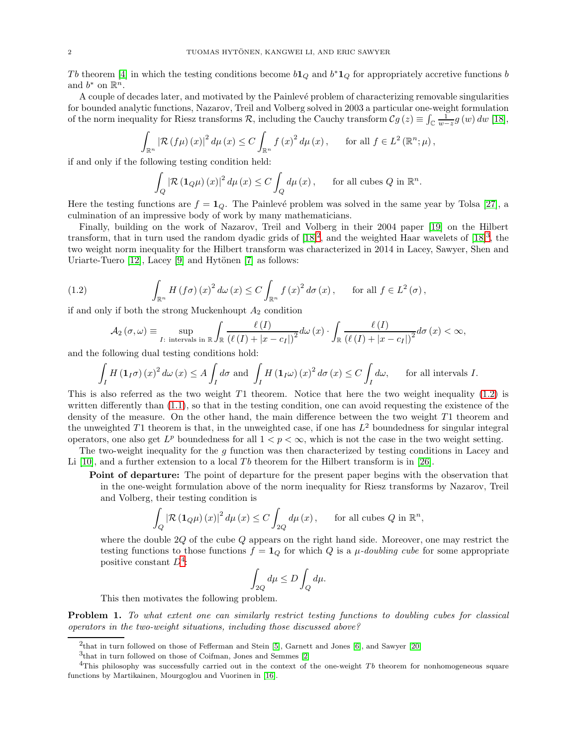Tb theorem [\[4\]](#page-16-2) in which the testing conditions become  $b1_Q$  and  $b^*1_Q$  for appropriately accretive functions b and  $b^*$  on  $\mathbb{R}^n$ .

A couple of decades later, and motivated by the Painlevé problem of characterizing removable singularities for bounded analytic functions, Nazarov, Treil and Volberg solved in 2003 a particular one-weight formulation of the norm inequality for Riesz transforms R, including the Cauchy transform  $Cg(z) \equiv \int_{\mathbb{C}} \frac{1}{w-z} g(w) dw$  [\[18\]](#page-16-3),

$$
\int_{\mathbb{R}^n} \left| \mathcal{R} \left( f \mu \right) (x) \right|^2 d\mu \left( x \right) \leq C \int_{\mathbb{R}^n} f \left( x \right)^2 d\mu \left( x \right), \quad \text{ for all } f \in L^2 \left( \mathbb{R}^n; \mu \right),
$$

if and only if the following testing condition held:

$$
\int_{Q} \left| \mathcal{R} \left( \mathbf{1}_{Q} \mu \right) (x) \right|^2 d\mu \left( x \right) \leq C \int_{Q} d\mu \left( x \right), \quad \text{ for all cubes } Q \text{ in } \mathbb{R}^n.
$$

Here the testing functions are  $f = 1_Q$ . The Painlevé problem was solved in the same year by Tolsa [\[27\]](#page-16-4), a culmination of an impressive body of work by many mathematicians.

Finally, building on the work of Nazarov, Treil and Volberg in their 2004 paper [\[19\]](#page-16-5) on the Hilbert transform, that in turn used the random dyadic grids of  $[18]^2$  $[18]^2$ , and the weighted Haar wavelets of  $[18]^3$  $[18]^3$ , the two weight norm inequality for the Hilbert transform was characterized in 2014 in Lacey, Sawyer, Shen and Uriarte-Tuero  $[12]$ , Lacey  $[9]$  and Hytönen  $[7]$  as follows:

(1.2) 
$$
\int_{\mathbb{R}^n} H(f\sigma)(x)^2 d\omega(x) \leq C \int_{\mathbb{R}^n} f(x)^2 d\sigma(x), \quad \text{for all } f \in L^2(\sigma),
$$

if and only if both the strong Muckenhoupt  $A_2$  condition

<span id="page-1-2"></span>
$$
\mathcal{A}_2(\sigma,\omega) \equiv \sup_{I:\text{ intervals in }\mathbb{R}} \int_{\mathbb{R}} \frac{\ell(I)}{(\ell(I) + |x - c_I|)^2} d\omega(x) \cdot \int_{\mathbb{R}} \frac{\ell(I)}{(\ell(I) + |x - c_I|)^2} d\sigma(x) < \infty,
$$

and the following dual testing conditions hold:

$$
\int_{I} H\left(\mathbf{1}_{I}\sigma\right)(x)^{2} d\omega\left(x\right) \leq A \int_{I} d\sigma \text{ and } \int_{I} H\left(\mathbf{1}_{I}\omega\right)(x)^{2} d\sigma\left(x\right) \leq C \int_{I} d\omega, \quad \text{ for all intervals } I.
$$

This is also referred as the two weight  $T1$  theorem. Notice that here the two weight inequality [\(1.2\)](#page-1-2) is written differently than  $(1.1)$ , so that in the testing condition, one can avoid requesting the existence of the density of the measure. On the other hand, the main difference between the two weight  $T1$  theorem and the unweighted T1 theorem is that, in the unweighted case, if one has  $L^2$  boundedness for singular integral operators, one also get  $L^p$  boundedness for all  $1 < p < \infty$ , which is not the case in the two weight setting.

The two-weight inequality for the g function was then characterized by testing conditions in Lacey and Li [\[10\]](#page-16-9), and a further extension to a local Tb theorem for the Hilbert transform is in [\[26\]](#page-16-10).

Point of departure: The point of departure for the present paper begins with the observation that in the one-weight formulation above of the norm inequality for Riesz transforms by Nazarov, Treil and Volberg, their testing condition is

$$
\int_{Q} \left| \mathcal{R} \left( \mathbf{1}_{Q} \mu \right) (x) \right|^2 d\mu \left( x \right) \leq C \int_{2Q} d\mu \left( x \right), \quad \text{ for all cubes } Q \text{ in } \mathbb{R}^n,
$$

where the double 2Q of the cube Q appears on the right hand side. Moreover, one may restrict the testing functions to those functions  $f = \mathbf{1}_Q$  for which Q is a  $\mu$ -doubling cube for some appropriate positive constant  $D^4$  $D^4$ : :  $Z = \frac{1}{2}$ 

$$
\int_{2Q} d\mu \le D \int_Q d\mu.
$$

This then motivates the following problem.

Problem 1. To what extent one can similarly restrict testing functions to doubling cubes for classical operators in the two-weight situations, including those discussed above?

<sup>&</sup>lt;sup>2</sup>that in turn followed on those of Fefferman and Stein [\[5\]](#page-16-11), Garnett and Jones [\[6\]](#page-16-12), and Sawyer [\[20\]](#page-16-0)

<span id="page-1-1"></span><span id="page-1-0"></span><sup>3</sup> that in turn followed on those of Coifman, Jones and Semmes [\[2\]](#page-16-13)

<span id="page-1-3"></span><sup>&</sup>lt;sup>4</sup>This philosophy was successfully carried out in the context of the one-weight  $Tb$  theorem for nonhomogeneous square functions by Martikainen, Mourgoglou and Vuorinen in [\[16\]](#page-16-14).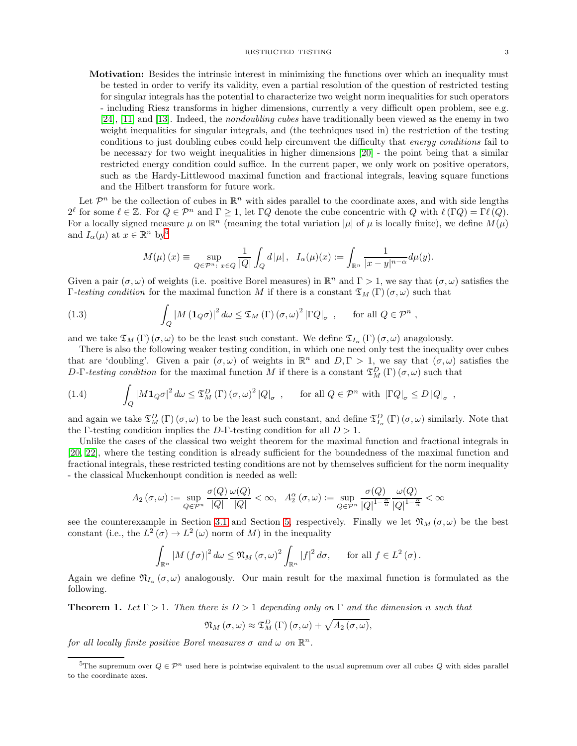#### RESTRICTED TESTING 3

- 
- Motivation: Besides the intrinsic interest in minimizing the functions over which an inequality must be tested in order to verify its validity, even a partial resolution of the question of restricted testing for singular integrals has the potential to characterize two weight norm inequalities for such operators - including Riesz transforms in higher dimensions, currently a very difficult open problem, see e.g. [\[24\]](#page-16-15), [\[11\]](#page-16-16) and [\[13\]](#page-16-17). Indeed, the *nondoubling cubes* have traditionally been viewed as the enemy in two weight inequalities for singular integrals, and (the techniques used in) the restriction of the testing conditions to just doubling cubes could help circumvent the difficulty that energy conditions fail to be necessary for two weight inequalities in higher dimensions [\[20\]](#page-16-0) - the point being that a similar restricted energy condition could suffice. In the current paper, we only work on positive operators, such as the Hardy-Littlewood maximal function and fractional integrals, leaving square functions and the Hilbert transform for future work.

Let  $\mathcal{P}^n$  be the collection of cubes in  $\mathbb{R}^n$  with sides parallel to the coordinate axes, and with side lengths  $2^{\ell}$  for some  $\ell \in \mathbb{Z}$ . For  $Q \in \mathcal{P}^n$  and  $\Gamma \geq 1$ , let  $\Gamma Q$  denote the cube concentric with  $Q$  with  $\ell(\Gamma Q) = \Gamma \ell(Q)$ . For a locally signed measure  $\mu$  on  $\mathbb{R}^n$  (meaning the total variation  $|\mu|$  of  $\mu$  is locally finite), we define  $M(\mu)$ and  $I_{\alpha}(\mu)$  at  $x \in \mathbb{R}^n$  by<sup>[5](#page-2-0)</sup>

<span id="page-2-3"></span>
$$
M(\mu)\left(x\right)\equiv\sup_{Q\in\mathcal{P}^n:\ x\in Q}\frac{1}{|Q|}\int_Qd\left|\mu\right|,\ \ I_\alpha(\mu)(x):=\int_{\mathbb{R}^n}\frac{1}{|x-y|^{n-\alpha}}d\mu(y).
$$

Given a pair  $(\sigma, \omega)$  of weights (i.e. positive Borel measures) in  $\mathbb{R}^n$  and  $\Gamma > 1$ , we say that  $(\sigma, \omega)$  satisfies the Γ-testing condition for the maximal function M if there is a constant  $\mathfrak{T}_M(\Gamma)(\sigma,\omega)$  such that

(1.3) 
$$
\int_{Q} |M(\mathbf{1}_{Q}\sigma)|^{2} d\omega \leq \mathfrak{T}_{M}(\Gamma) (\sigma, \omega)^{2} |\Gamma Q|_{\sigma} , \quad \text{for all } Q \in \mathcal{P}^{n} ,
$$

and we take  $\mathfrak{T}_M(\Gamma)$  ( $\sigma, \omega$ ) to be the least such constant. We define  $\mathfrak{T}_{I_\alpha}(\Gamma)$  ( $\sigma, \omega$ ) anagolously.

There is also the following weaker testing condition, in which one need only test the inequality over cubes that are 'doubling'. Given a pair  $(\sigma, \omega)$  of weights in  $\mathbb{R}^n$  and  $D, \Gamma > 1$ , we say that  $(\sigma, \omega)$  satisfies the D-Γ-testing condition for the maximal function M if there is a constant  $\mathfrak{T}_{M}^{D}(\Gamma)$  ( $\sigma, \omega$ ) such that

<span id="page-2-2"></span>(1.4) 
$$
\int_{Q} |M \mathbf{1}_{Q} \sigma|^{2} d\omega \leq \mathfrak{T}_{M}^{D}(\Gamma) (\sigma, \omega)^{2} |Q|_{\sigma} , \quad \text{for all } Q \in \mathcal{P}^{n} \text{ with } |\Gamma Q|_{\sigma} \leq D |Q|_{\sigma} ,
$$

and again we take  $\mathfrak{T}_{M}^{D}(\Gamma)$  ( $\sigma,\omega$ ) to be the least such constant, and define  $\mathfrak{T}_{I_{\alpha}}^{D}(\Gamma)$  ( $\sigma,\omega$ ) similarly. Note that the Γ-testing condition implies the D-Γ-testing condition for all  $D > 1$ .

Unlike the cases of the classical two weight theorem for the maximal function and fractional integrals in [\[20,](#page-16-0) [22\]](#page-16-18), where the testing condition is already sufficient for the boundedness of the maximal function and fractional integrals, these restricted testing conditions are not by themselves sufficient for the norm inequality - the classical Muckenhoupt condition is needed as well:

$$
A_2(\sigma,\omega) := \sup_{Q \in \mathcal{P}^n} \frac{\sigma(Q)}{|Q|} \frac{\omega(Q)}{|Q|} < \infty, \ \ A_2^{\alpha}(\sigma,\omega) := \sup_{Q \in \mathcal{P}^n} \frac{\sigma(Q)}{|Q|^{1-\frac{\alpha}{n}}}|Q|^{1-\frac{\alpha}{n}} < \infty
$$

see the counterexample in Section [3.1](#page-5-0) and Section [5,](#page-13-0) respectively. Finally we let  $\mathfrak{N}_M(\sigma,\omega)$  be the best constant (i.e., the  $L^2(\sigma) \to L^2(\omega)$  norm of M) in the inequality

$$
\int_{\mathbb{R}^n} |M(f\sigma)|^2 d\omega \leq \mathfrak{N}_M(\sigma,\omega)^2 \int_{\mathbb{R}^n} |f|^2 d\sigma, \quad \text{for all } f \in L^2(\sigma).
$$

Again we define  $\mathfrak{N}_{I_{\alpha}}(\sigma,\omega)$  analogously. Our main result for the maximal function is formulated as the following.

<span id="page-2-1"></span>**Theorem 1.** Let  $\Gamma > 1$ . Then there is  $D > 1$  depending only on  $\Gamma$  and the dimension n such that

$$
\mathfrak{N}_M\left(\sigma,\omega\right)\approx \mathfrak{T}^D_M\left(\Gamma\right)\left(\sigma,\omega\right)+\sqrt{A_2\left(\sigma,\omega\right)},
$$

for all locally finite positive Borel measures  $\sigma$  and  $\omega$  on  $\mathbb{R}^n$ .

<span id="page-2-0"></span><sup>&</sup>lt;sup>5</sup>The supremum over  $Q \in \mathcal{P}^n$  used here is pointwise equivalent to the usual supremum over all cubes Q with sides parallel to the coordinate axes.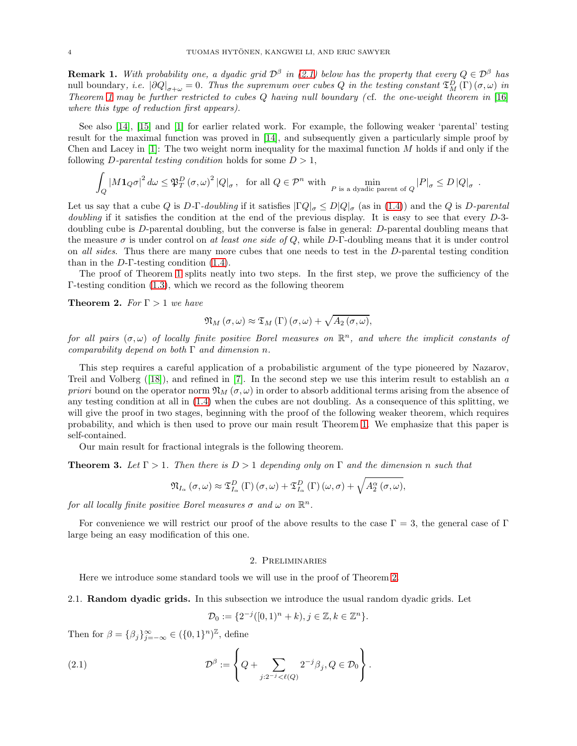**Remark 1.** With probability one, a dyadic grid  $\mathcal{D}^{\beta}$  in [\(2.1\)](#page-3-0) below has the property that every  $Q \in \mathcal{D}^{\beta}$  has null boundary, *i.e.*  $|\partial Q|_{\sigma+\omega} = 0$ . Thus the supremum over cubes Q in the testing constant  $\mathfrak{T}_{M}^{D}(\Gamma)(\sigma,\omega)$  in Theorem [1](#page-2-1) may be further restricted to cubes  $Q$  having null boundary (cf. the one-weight theorem in  $[16]$ where this type of reduction first appears).

See also [\[14\]](#page-16-19), [\[15\]](#page-16-20) and [\[1\]](#page-16-21) for earlier related work. For example, the following weaker 'parental' testing result for the maximal function was proved in [\[14\]](#page-16-19), and subsequently given a particularly simple proof by Chen and Lacey in  $[1]$ : The two weight norm inequality for the maximal function M holds if and only if the following *D*-parental testing condition holds for some  $D > 1$ ,

$$
\int_{Q} |M\mathbf{1}_{Q}\sigma|^{2} d\omega \leq \mathfrak{P}_{T}^{D} (\sigma, \omega)^{2} |Q|_{\sigma}, \text{ for all } Q \in \mathcal{P}^{n} \text{ with } \min_{P \text{ is a dyadic parent of } Q} |P|_{\sigma} \leq D |Q|_{\sigma}.
$$

Let us say that a cube Q is D-Γ-doubling if it satisfies  $|\Gamma Q|_{\sigma} \leq D|Q|_{\sigma}$  (as in [\(1.4\)](#page-2-2)) and the Q is D-parental doubling if it satisfies the condition at the end of the previous display. It is easy to see that every D-3doubling cube is D-parental doubling, but the converse is false in general: D-parental doubling means that the measure  $\sigma$  is under control on at least one side of Q, while D-Γ-doubling means that it is under control on all sides. Thus there are many more cubes that one needs to test in the D-parental testing condition than in the  $D$ -Γ-testing condition  $(1.4)$ .

The proof of Theorem [1](#page-2-1) splits neatly into two steps. In the first step, we prove the sufficiency of the Γ-testing condition [\(1.3\)](#page-2-3), which we record as the following theorem

<span id="page-3-1"></span>**Theorem 2.** For  $\Gamma > 1$  we have

$$
\mathfrak{N}_M\left(\sigma,\omega\right)\approx\mathfrak{T}_M\left(\Gamma\right)\left(\sigma,\omega\right)+\sqrt{A_2\left(\sigma,\omega\right)},
$$

for all pairs  $(\sigma, \omega)$  of locally finite positive Borel measures on  $\mathbb{R}^n$ , and where the implicit constants of comparability depend on both  $\Gamma$  and dimension n.

This step requires a careful application of a probabilistic argument of the type pioneered by Nazarov, Treiland Volberg  $([18])$  $([18])$  $([18])$ , and refined in [\[7\]](#page-16-8). In the second step we use this interim result to establish an a priori bound on the operator norm  $\mathfrak{N}_M(\sigma,\omega)$  in order to absorb additional terms arising from the absence of any testing condition at all in [\(1.4\)](#page-2-2) when the cubes are not doubling. As a consequence of this splitting, we will give the proof in two stages, beginning with the proof of the following weaker theorem, which requires probability, and which is then used to prove our main result Theorem [1.](#page-2-1) We emphasize that this paper is self-contained.

Our main result for fractional integrals is the following theorem.

<span id="page-3-2"></span>**Theorem 3.** Let  $\Gamma > 1$ . Then there is  $D > 1$  depending only on  $\Gamma$  and the dimension n such that

$$
\mathfrak{N}_{I_{\alpha}}\left(\sigma,\omega\right)\approx\mathfrak{T}_{I_{\alpha}}^{D}\left(\Gamma\right)\left(\sigma,\omega\right)+\mathfrak{T}_{I_{\alpha}}^{D}\left(\Gamma\right)\left(\omega,\sigma\right)+\sqrt{A_{2}^{\alpha}\left(\sigma,\omega\right)},
$$

for all locally finite positive Borel measures  $\sigma$  and  $\omega$  on  $\mathbb{R}^n$ .

For convenience we will restrict our proof of the above results to the case  $\Gamma = 3$ , the general case of  $\Gamma$ large being an easy modification of this one.

#### 2. Preliminaries

Here we introduce some standard tools we will use in the proof of Theorem [2.](#page-3-1)

2.1. Random dyadic grids. In this subsection we introduce the usual random dyadic grids. Let

<span id="page-3-0"></span>
$$
\mathcal{D}_0 := \{ 2^{-j}([0,1)^n + k), j \in \mathbb{Z}, k \in \mathbb{Z}^n \}.
$$

Then for  $\beta = {\beta_j}_{j=-\infty}^{\infty} \in ({0,1}^n)^{\mathbb{Z}}$ , define

(2.1) 
$$
\mathcal{D}^{\beta} := \left\{ Q + \sum_{j:2^{-j} < \ell(Q)} 2^{-j} \beta_j, Q \in \mathcal{D}_0 \right\}.
$$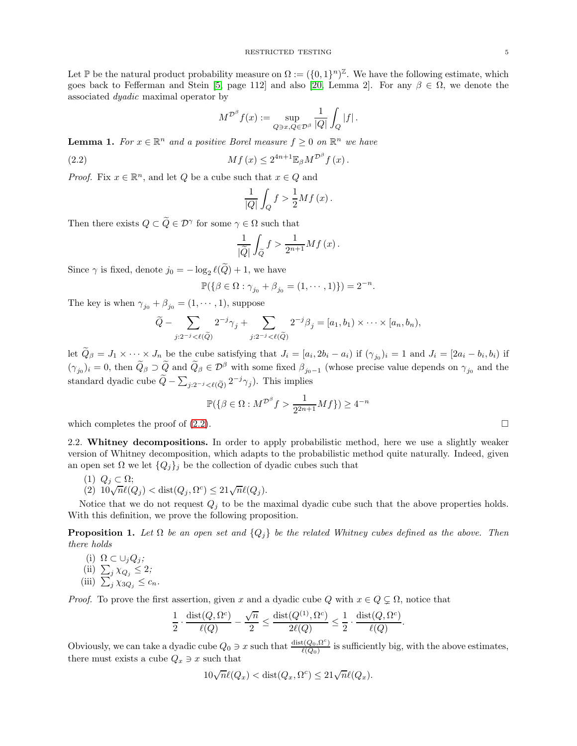Let  $\mathbb P$  be the natural product probability measure on  $\Omega := (\{0,1\}^n)^{\mathbb Z}$ . We have the following estimate, which goes back to Fefferman and Stein [\[5,](#page-16-11) page 112] and also [\[20,](#page-16-0) Lemma 2]. For any  $\beta \in \Omega$ , we denote the associated dyadic maximal operator by

$$
M^{\mathcal{D}^{\beta}}f(x):=\sup_{Q\ni x, Q\in \mathcal{D}^{\beta}}\frac{1}{|Q|}\int_Q|f|\,.
$$

<span id="page-4-2"></span>**Lemma 1.** For  $x \in \mathbb{R}^n$  and a positive Borel measure  $f \geq 0$  on  $\mathbb{R}^n$  we have

(2.2) 
$$
Mf(x) \leq 2^{4n+1} \mathbb{E}_{\beta} M^{\mathcal{D}^{\beta}} f(x).
$$

*Proof.* Fix  $x \in \mathbb{R}^n$ , and let  $Q$  be a cube such that  $x \in Q$  and

<span id="page-4-0"></span>
$$
\frac{1}{|Q|}\int_{Q}f > \frac{1}{2}Mf(x).
$$

Then there exists  $Q \subset \tilde{Q} \in \mathcal{D}^{\gamma}$  for some  $\gamma \in \Omega$  such that

$$
\frac{1}{|\widetilde{Q}|} \int_{\widetilde{Q}} f > \frac{1}{2^{n+1}} M f(x).
$$

Since  $\gamma$  is fixed, denote  $j_0 = -\log_2 \ell(Q) + 1$ , we have

$$
\mathbb{P}(\{\beta \in \Omega : \gamma_{j_0} + \beta_{j_0} = (1, \dots, 1)\}) = 2^{-n}.
$$

The key is when  $\gamma_{j_0} + \beta_{j_0} = (1, \dots, 1)$ , suppose

$$
\widetilde{Q} - \sum_{j:2^{-j} < \ell(\widetilde{Q})} 2^{-j} \gamma_j + \sum_{j:2^{-j} < \ell(\widetilde{Q})} 2^{-j} \beta_j = [a_1, b_1) \times \cdots \times [a_n, b_n),
$$

let  $Q_{\beta} = J_1 \times \cdots \times J_n$  be the cube satisfying that  $J_i = [a_i, 2b_i - a_i]$  if  $(\gamma_{j_0})_i = 1$  and  $J_i = [2a_i - b_i, b_i]$  if  $(\gamma_{j_0})_i = 0$ , then  $\tilde{Q}_{\beta} \supset \tilde{Q}$  and  $\tilde{Q}_{\beta} \in \mathcal{D}^{\beta}$  with some fixed  $\beta_{j_0-1}$  (whose precise value depends on  $\gamma_{j_0}$  and the standard dyadic cube  $\tilde{Q} - \sum_{j:2^{-j} < l(\tilde{Q})} 2^{-j} \gamma_j$ ). This implies

$$
\mathbb{P}(\{\beta \in \Omega : M^{\mathcal{D}^{\beta}} f > \frac{1}{2^{2n+1}} Mf\}) \ge 4^{-n}
$$

which completes the proof of  $(2.2)$ .

2.2. Whitney decompositions. In order to apply probabilistic method, here we use a slightly weaker version of Whitney decomposition, which adapts to the probabilistic method quite naturally. Indeed, given an open set  $\Omega$  we let  $\{Q_j\}_j$  be the collection of dyadic cubes such that

1) 
$$
Q_j \subset \Omega
$$
;

(1)  $Q_j \,\subset \Omega;$ <br>(2)  $10\sqrt{n}\ell(Q_j) < \text{dist}(Q_j, \Omega^c) \le 21\sqrt{n}\ell(Q_j).$ 

Notice that we do not request  $Q_i$  to be the maximal dyadic cube such that the above properties holds. With this definition, we prove the following proposition.

<span id="page-4-1"></span>**Proposition 1.** Let  $\Omega$  be an open set and  $\{Q_j\}$  be the related Whitney cubes defined as the above. Then there holds

(i)  $\Omega \subset \cup_j Q_j;$ (ii)  $\sum_j \chi_{Q_j} \leq 2;$ (iii)  $\sum_{j}^{s} \chi_{3Q_j} \leq c_n$ .

*Proof.* To prove the first assertion, given x and a dyadic cube Q with  $x \in Q \subsetneq \Omega$ , notice that

$$
\frac{1}{2}\cdot \frac{\operatorname{dist}(Q,\Omega^c)}{\ell(Q)}-\frac{\sqrt{n}}{2}\leq \frac{\operatorname{dist}(Q^{(1)},\Omega^c)}{2\ell(Q)}\leq \frac{1}{2}\cdot \frac{\operatorname{dist}(Q,\Omega^c)}{\ell(Q)}.
$$

Obviously, we can take a dyadic cube  $Q_0 \ni x$  such that  $\frac{\text{dist}(Q_0, \Omega^c)}{\ell(Q_0)}$  $\frac{\ell(Q_0, \Omega)}{\ell(Q_0)}$  is sufficiently big, with the above estimates, there must exists a cube  $Q_x \ni x$  such that

$$
10\sqrt{n}\ell(Q_x) < \text{dist}(Q_x, \Omega^c) \le 21\sqrt{n}\ell(Q_x).
$$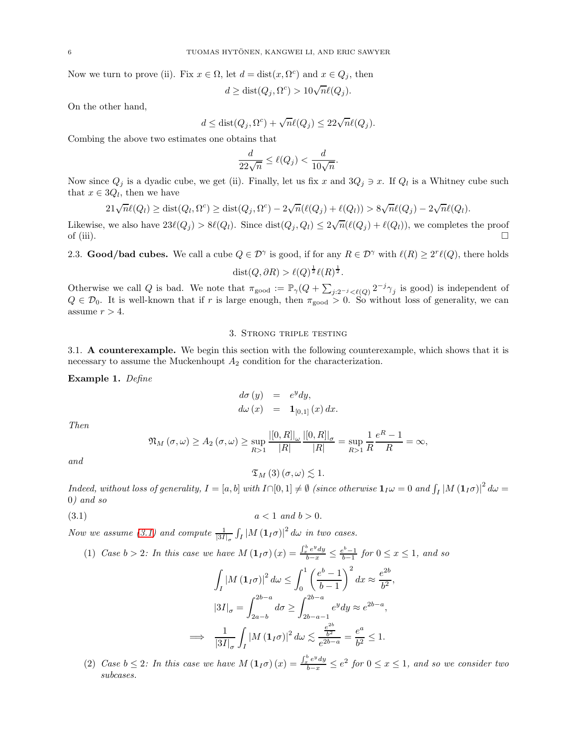Now we turn to prove (ii). Fix  $x \in \Omega$ , let  $d = \text{dist}(x, \Omega^c)$  and  $x \in Q_j$ , then

$$
d \ge \text{dist}(Q_j, \Omega^c) > 10\sqrt{n}\ell(Q_j).
$$

On the other hand,

$$
d \leq \text{dist}(Q_j, \Omega^c) + \sqrt{n} \ell(Q_j) \leq 22\sqrt{n} \ell(Q_j).
$$

Combing the above two estimates one obtains that

$$
\frac{d}{22\sqrt{n}} \le \ell(Q_j) < \frac{d}{10\sqrt{n}}.
$$

Now since  $Q_j$  is a dyadic cube, we get (ii). Finally, let us fix x and  $3Q_j \ni x$ . If  $Q_l$  is a Whitney cube such that  $x \in 3Q_l$ , then we have

$$
21\sqrt{n}\ell(Q_l) \ge \text{dist}(Q_l, \Omega^c) \ge \text{dist}(Q_j, \Omega^c) - 2\sqrt{n}(\ell(Q_j) + \ell(Q_l)) > 8\sqrt{n}\ell(Q_j) - 2\sqrt{n}\ell(Q_l).
$$

Likewise, we also have  $23\ell(Q_j) > 8\ell(Q_l)$ . Since  $dist(Q_j, Q_l) \leq 2\sqrt{n}(\ell(Q_j) + \ell(Q_l))$ , we completes the proof of (iii).  $\Box$ 

2.3. **Good/bad cubes.** We call a cube  $Q \in \mathcal{D}^{\gamma}$  is good, if for any  $R \in \mathcal{D}^{\gamma}$  with  $\ell(R) \geq 2^{r}\ell(Q)$ , there holds 1 1

$$
dist(Q, \partial R) > \ell(Q)^{\frac{1}{2}} \ell(R)^{\frac{1}{2}}.
$$

Otherwise we call Q is bad. We note that  $\pi_{\text{good}} := \mathbb{P}_{\gamma}(Q + \sum_{j:2^{-j} \lt \ell(Q)} 2^{-j} \gamma_j$  is good) is independent of  $Q \in \mathcal{D}_0$ . It is well-known that if r is large enough, then  $\pi_{\text{good}} > 0$ . So without loss of generality, we can assume  $r > 4$ .

### 3. Strong triple testing

<span id="page-5-0"></span>3.1. A counterexample. We begin this section with the following counterexample, which shows that it is necessary to assume the Muckenhoupt  $A_2$  condition for the characterization.

<span id="page-5-2"></span>Example 1. Define

$$
d\sigma (y) = e^y dy,
$$
  

$$
d\omega (x) = \mathbf{1}_{[0,1]}(x) dx.
$$

Then

$$
\mathfrak{N}_{M}\left(\sigma,\omega\right)\geq A_{2}\left(\sigma,\omega\right)\geq \sup_{R>1}\frac{\left|\left[0,R\right]\right|_{\omega}}{\left|R\right|}\frac{\left|\left[0,R\right]\right|_{\sigma}}{\left|R\right|}=\sup_{R>1}\frac{1}{R}\frac{e^{R}-1}{R}=\infty,
$$

and

<span id="page-5-1"></span> $\mathfrak{T}_M(3)$   $(\sigma,\omega) \lesssim 1$ .

 $Indeed, without loss of generality, I = [a, b] with I \cap [0, 1] \neq \emptyset$  (since otherwise  $\mathbf{1}_I\omega = 0$  and  $\int_I |M(\mathbf{1}_I\sigma)|^2 d\omega =$ 0) and so

$$
(3.1) \t\t a < 1 \t and \t b > 0.
$$

=⇒

Now we assume [\(3.1\)](#page-5-1) and compute  $\frac{1}{|3I|_{\sigma}} \int_I |M(\mathbf{1}_I \sigma)|^2 d\omega$  in two cases.

(1) Case  $b > 2$ : In this case we have  $M(1_I\sigma)(x) = \frac{\int_x^b e^y dy}{b-x} \le \frac{e^b-1}{b-1}$  for  $0 \le x \le 1$ , and so

$$
\int_{I} |M(\mathbf{1}_{I}\sigma)|^{2} d\omega \le \int_{0}^{1} \left(\frac{e^{b}-1}{b-1}\right)^{2} dx \approx \frac{e^{2b}}{b^{2}},
$$

$$
|3I|_{\sigma} = \int_{2a-b}^{2b-a} d\sigma \ge \int_{2b-a-1}^{2b-a} e^{y} dy \approx e^{2b-a},
$$

$$
\Rightarrow \frac{1}{|3I|_{\sigma}} \int_{I} |M(\mathbf{1}_{I}\sigma)|^{2} d\omega \lesssim \frac{\frac{e^{2b}}{b^{2}}}{e^{2b-a}} = \frac{e^{a}}{b^{2}} \le 1.
$$

(2) Case  $b \leq 2$ : In this case we have  $M(1_{I}\sigma)(x) = \frac{\int_x^b e^y dy}{b-x} \leq e^2$  for  $0 \leq x \leq 1$ , and so we consider two subcases.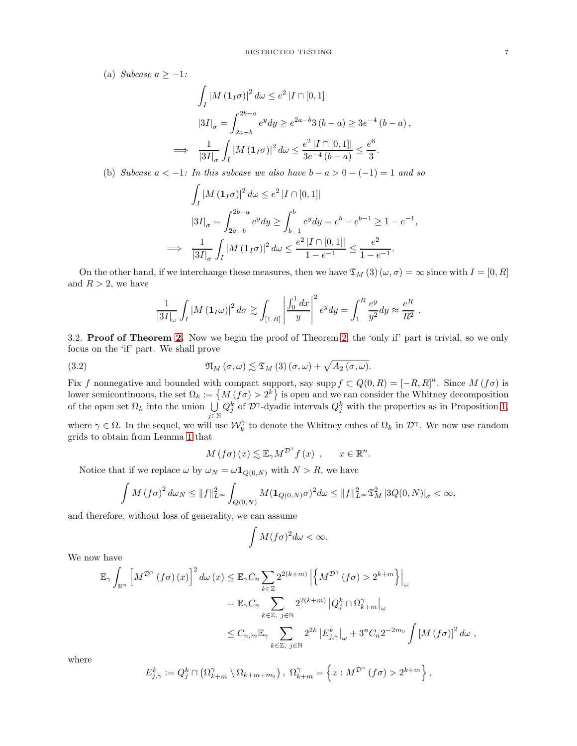(a) Subcase  $a \geq -1$ :

$$
\int_{I} |M(\mathbf{1}_{I}\sigma)|^{2} d\omega \le e^{2} |I \cap [0,1]|
$$
  

$$
|3I|_{\sigma} = \int_{2a-b}^{2b-a} e^{y} dy \ge e^{2a-b} 3(b-a) \ge 3e^{-4} (b-a),
$$
  

$$
\implies \frac{1}{|3I|_{\sigma}} \int_{I} |M(\mathbf{1}_{I}\sigma)|^{2} d\omega \le \frac{e^{2} |I \cap [0,1]|}{3e^{-4} (b-a)} \le \frac{e^{6}}{3}.
$$

(b) Subcase  $a < -1$ : In this subcase we also have  $b - a > 0 - (-1) = 1$  and so

$$
\int_{I} |M(\mathbf{1}_{I}\sigma)|^{2} d\omega \le e^{2} |I \cap [0,1]|
$$
\n
$$
|3I|_{\sigma} = \int_{2a-b}^{2b-a} e^{y} dy \ge \int_{b-1}^{b} e^{y} dy = e^{b} - e^{b-1} \ge 1 - e^{-1},
$$
\n
$$
\implies \frac{1}{|3I|_{\sigma}} \int_{I} |M(\mathbf{1}_{I}\sigma)|^{2} d\omega \le \frac{e^{2} |I \cap [0,1]|}{1 - e^{-1}} \le \frac{e^{2}}{1 - e^{-1}}.
$$

On the other hand, if we interchange these measures, then we have  $\mathfrak{T}_M$  (3)  $(\omega, \sigma) = \infty$  since with  $I = [0, R]$ and  $R > 2$ , we have

$$
\frac{1}{|3I|_{\omega}}\int_{I}|M(\mathbf{1}_{I}\omega)|^{2} d\sigma \gtrsim \int_{[1,R]}\left|\frac{\int_{0}^{1}dx}{y}\right|^{2} e^{y} dy = \int_{1}^{R}\frac{e^{y}}{y^{2}} dy \approx \frac{e^{R}}{R^{2}}
$$

.

3.2. Proof of Theorem [2.](#page-3-1) Now we begin the proof of Theorem [2,](#page-3-1) the 'only if' part is trivial, so we only focus on the 'if' part. We shall prove

(3.2) 
$$
\mathfrak{N}_M(\sigma,\omega) \lesssim \mathfrak{T}_M(3)(\sigma,\omega) + \sqrt{A_2(\sigma,\omega)}.
$$

Fix f nonnegative and bounded with compact support, say supp  $f \subset Q(0,R) = [-R, R]^n$ . Since  $M(f\sigma)$  is lower semicontinuous, the set  $\Omega_k := \{ M(f\sigma) > 2^k \}$  is open and we can consider the Whitney decomposition of the open set  $\Omega_k$  into the union  $\bigcup$ j∈N  $Q_j^k$  of  $\mathcal{D}^{\gamma}$ -dyadic intervals  $Q_j^k$  with the properties as in Proposition [1,](#page-4-1)

where  $\gamma \in \Omega$ . In the sequel, we will use  $\mathcal{W}_k^{\gamma}$  to denote the Whitney cubes of  $\Omega_k$  in  $\mathcal{D}^{\gamma}$ . We now use random grids to obtain from Lemma [1](#page-4-2) that

$$
M(f\sigma)(x) \lesssim \mathbb{E}_{\gamma} M^{\mathcal{D}^{\gamma}} f(x) , \quad x \in \mathbb{R}^n.
$$

Notice that if we replace  $\omega$  by  $\omega_N = \omega \mathbf{1}_{Q(0,N)}$  with  $N > R$ , we have

$$
\int M(f\sigma)^2 d\omega_N \leq ||f||_{L^{\infty}}^2 \int_{Q(0,N)} M(\mathbf{1}_{Q(0,N)}\sigma)^2 d\omega \leq ||f||_{L^{\infty}}^2 \mathfrak{T}_M^2 |3Q(0,N)|_{\sigma} < \infty,
$$

and therefore, without loss of generality, we can assume

$$
\int M(f\sigma)^2 d\omega < \infty.
$$

We now have

$$
\mathbb{E}_{\gamma} \int_{\mathbb{R}^n} \left[ M^{\mathcal{D}^{\gamma}} \left( f \sigma \right) (x) \right]^2 d\omega (x) \leq \mathbb{E}_{\gamma} C_n \sum_{k \in \mathbb{Z}} 2^{2(k+m)} \left| \left\{ M^{\mathcal{D}^{\gamma}} \left( f \sigma \right) > 2^{k+m} \right\} \right|_{\omega}
$$
  
\n
$$
= \mathbb{E}_{\gamma} C_n \sum_{k \in \mathbb{Z}, j \in \mathbb{N}} 2^{2(k+m)} \left| Q_j^k \cap \Omega_{k+m}^{\gamma} \right|_{\omega}
$$
  
\n
$$
\leq C_{n,m} \mathbb{E}_{\gamma} \sum_{k \in \mathbb{Z}, j \in \mathbb{N}} 2^{2k} \left| E_{j,\gamma}^k \right|_{\omega} + 3^n C_n 2^{-2m_0} \int \left[ M \left( f \sigma \right) \right]^2 d\omega ,
$$

where

$$
E_{j,\gamma}^k := Q_j^k \cap \left(\Omega_{k+m}^\gamma \setminus \Omega_{k+m+m_0}\right), \ \Omega_{k+m}^\gamma = \left\{x : M^{\mathcal{D}^\gamma} \left(f\sigma\right) > 2^{k+m}\right\},\
$$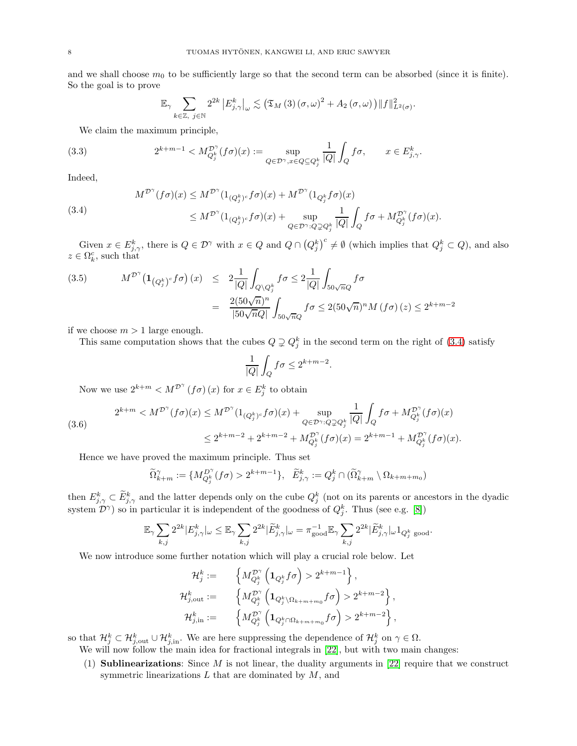and we shall choose  $m_0$  to be sufficiently large so that the second term can be absorbed (since it is finite). So the goal is to prove

<span id="page-7-1"></span>
$$
\mathbb{E}_{\gamma}\sum_{k\in\mathbb{Z},\ j\in\mathbb{N}}2^{2k}\left|E_{j,\gamma}^{k}\right|_{\omega}\lesssim\left(\mathfrak{T}_{M}\left(3\right)\left(\sigma,\omega\right)^{2}+A_{2}\left(\sigma,\omega\right)\right)\left\Vert f\right\Vert _{L^{2}\left(\sigma\right)}^{2}.
$$

We claim the maximum principle,

(3.3) 
$$
2^{k+m-1} < M_{Q_j^k}^{\mathcal{D}^\gamma}(f\sigma)(x) := \sup_{Q \in \mathcal{D}^\gamma, x \in Q \subseteq Q_j^k} \frac{1}{|Q|} \int_Q f\sigma, \qquad x \in E^k_{j,\gamma}.
$$

Indeed,

<span id="page-7-0"></span>(3.4)  
\n
$$
M^{\mathcal{D}^{\gamma}}(f\sigma)(x) \leq M^{\mathcal{D}^{\gamma}}(1_{(Q_j^k)^c}f\sigma)(x) + M^{\mathcal{D}^{\gamma}}(1_{Q_j^k}f\sigma)(x)
$$
\n
$$
\leq M^{\mathcal{D}^{\gamma}}(1_{(Q_j^k)^c}f\sigma)(x) + \sup_{Q \in \mathcal{D}^{\gamma} : Q \supsetneq Q_j^k} \frac{1}{|Q|} \int_Q f\sigma + M_{Q_j^k}^{\mathcal{D}^{\gamma}}(f\sigma)(x).
$$

Given  $x \in E^k_{j,\gamma}$ , there is  $Q \in \mathcal{D}^\gamma$  with  $x \in Q$  and  $Q \cap (Q_j^k)^c \neq \emptyset$  (which implies that  $Q_j^k \subset Q$ ), and also  $z \in \Omega_k^c$ , such that

$$
(3.5) \tM^{\mathcal{D}^{\gamma}}(\mathbf{1}_{\left(Q_j^k\right)^c}f\sigma)(x) \leq 2\frac{1}{|Q|}\int_{Q\backslash Q_j^k}f\sigma \leq 2\frac{1}{|Q|}\int_{50\sqrt{n}Q}f\sigma
$$

$$
= \frac{2(50\sqrt{n})^n}{|50\sqrt{n}Q|}\int_{50\sqrt{n}Q}f\sigma \leq 2(50\sqrt{n})^nM\left(f\sigma\right)(z) \leq 2^{k+m-2}
$$

if we choose  $m > 1$  large enough.

This same computation shows that the cubes  $Q \supsetneq Q_j^k$  in the second term on the right of [\(3.4\)](#page-7-0) satisfy

$$
\frac{1}{|Q|} \int_Q f \sigma \le 2^{k+m-2}.
$$

Now we use  $2^{k+m} < M^{\mathcal{D}^{\gamma}}(f\sigma)(x)$  for  $x \in E_j^k$  to obtain

$$
(3.6) \quad 2^{k+m} < M^{\mathcal{D}^{\gamma}}(f\sigma)(x) \le M^{\mathcal{D}^{\gamma}}(1_{(Q_j^k)^c}f\sigma)(x) + \sup_{Q \in \mathcal{D}^{\gamma}: Q \supsetneq Q_j^k} \frac{1}{|Q|} \int_Q f\sigma + M_{Q_j^k}^{\mathcal{D}^{\gamma}}(f\sigma)(x) \\ \le 2^{k+m-2} + 2^{k+m-2} + M_{Q_j^k}^{\mathcal{D}^{\gamma}}(f\sigma)(x) = 2^{k+m-1} + M_{Q_j^k}^{\mathcal{D}^{\gamma}}(f\sigma)(x).
$$

Hence we have proved the maximum principle. Thus set

$$
\widetilde{\Omega}_{k+m}^{\gamma} := \{ M_{Q_j^k}^{D^{\gamma}}(f\sigma) > 2^{k+m-1} \}, \quad \widetilde{E}_{j,\gamma}^k := Q_j^k \cap (\widetilde{\Omega}_{k+m}^{\gamma} \setminus \Omega_{k+m+m_0})
$$

then  $E_{j,\gamma}^k \subset \tilde{E}_{j,\gamma}^k$  and the latter depends only on the cube  $Q_j^k$  (not on its parents or ancestors in the dyadic system  $\mathcal{D}^{\gamma}$ ) so in particular it is independent of the goodness of  $Q_j^k$ . Thus (see e.g. [\[8\]](#page-16-22))

$$
\mathbb{E}_\gamma\sum_{k,j}2^{2k}|E^k_{j,\gamma}|_\omega\leq \mathbb{E}_\gamma\sum_{k,j}2^{2k}|\widetilde{E}^k_{j,\gamma}|_\omega=\pi_{\text{good}}^{-1}\mathbb{E}_\gamma\sum_{k,j}2^{2k}|\widetilde{E}^k_{j,\gamma}|_\omega\mathbf{1}_{Q^k_j\text{ good}}.
$$

We now introduce some further notation which will play a crucial role below. Let

$$
\begin{aligned} \mathcal{H}^k_j&:=&\quad\Big\{M^{\mathcal{D}^{\gamma}}_{Q^k_j}\left(\textbf{1}_{Q^k_j}f\sigma\right)>2^{k+m-1}\Big\}\,,\\ \mathcal{H}^k_{j,\text{out}}&:=&\quad\Big\{M^{\mathcal{D}^{\gamma}}_{Q^k_j}\left(\textbf{1}_{Q^k_j\backslash\Omega_{k+m+m_0}}f\sigma\right)>2^{k+m-2}\Big\}\,,\\ \mathcal{H}^k_{j,\text{in}}&:=&\quad\Big\{M^{\mathcal{D}^{\gamma}}_{Q^k_j}\left(\textbf{1}_{Q^k_j\cap\Omega_{k+m+m_0}}f\sigma\right)>2^{k+m-2}\Big\}\,, \end{aligned}
$$

so that  $\mathcal{H}_{j}^{k} \subset \mathcal{H}_{j,\text{out}}^{k} \cup \mathcal{H}_{j,\text{in}}^{k}$ . We are here suppressing the dependence of  $\mathcal{H}_{j}^{k}$  on  $\gamma \in \Omega$ .

We will now follow the main idea for fractional integrals in [\[22\]](#page-16-18), but with two main changes:

(1) **Sublinearizations:** Since  $M$  is not linear, the duality arguments in [\[22\]](#page-16-18) require that we construct symmetric linearizations  $L$  that are dominated by  $M$ , and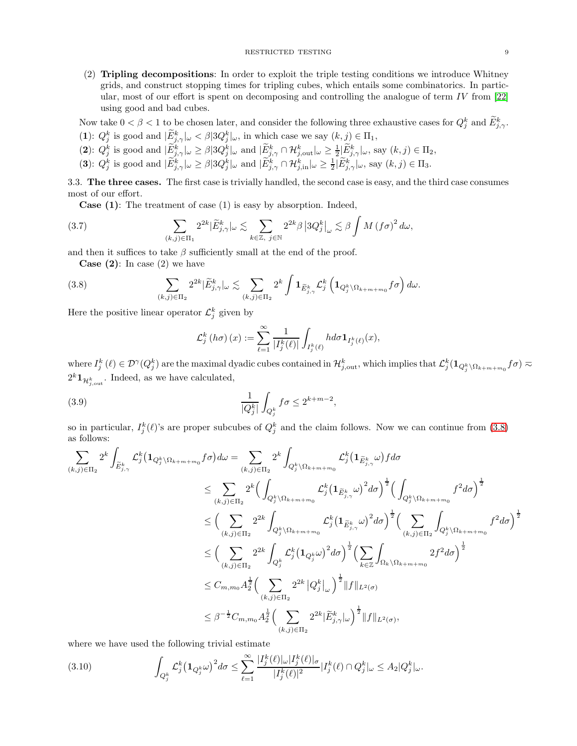(2) Tripling decompositions: In order to exploit the triple testing conditions we introduce Whitney grids, and construct stopping times for tripling cubes, which entails some combinatorics. In particular, most of our effort is spent on decomposing and controlling the analogue of term  $IV$  from [\[22\]](#page-16-18) using good and bad cubes.

Now take  $0 < \beta < 1$  to be chosen later, and consider the following three exhaustive cases for  $Q_j^k$  and  $E_{j,\gamma}^k$ .

- (1):  $Q_j^k$  is good and  $|\tilde{E}_{j,\gamma}^k|_{\omega} < \beta |3Q_j^k|_{\omega}$ , in which case we say  $(k, j) \in \Pi_1$ ,
- (2):  $Q_j^k$  is good and  $|\tilde{E}_{j,\gamma}^k|_{\omega} \geq \beta |3Q_j^k|_{\omega}$  and  $|\tilde{E}_{j,\gamma}^k \cap \mathcal{H}_{j,\text{out}}^k|_{\omega} \geq \frac{1}{2} |\tilde{E}_{j,\gamma}^k|_{\omega}$ , say  $(k,j) \in \Pi_2$ ,
- (3):  $Q_j^k$  is good and  $|\widetilde{E}_{j,\gamma}^k|_{\omega} \geq \beta |3Q_j^k|_{\omega}$  and  $|\widetilde{E}_{j,\gamma}^k \cap \mathcal{H}_{j,\text{in}}^k|_{\omega} \geq \frac{1}{2} |\widetilde{E}_{j,\gamma}^k|_{\omega}$ , say  $(k,j) \in \Pi_3$ .

3.3. The three cases. The first case is trivially handled, the second case is easy, and the third case consumes most of our effort.

<span id="page-8-2"></span>Case (1): The treatment of case (1) is easy by absorption. Indeed,

(3.7) 
$$
\sum_{(k,j)\in\Pi_1} 2^{2k} |\widetilde{E}^k_{j,\gamma}|_{\omega} \lesssim \sum_{k\in\mathbb{Z},\ j\in\mathbb{N}} 2^{2k} \beta \left| 3Q^k_j \right|_{\omega} \lesssim \beta \int M \left(f\sigma\right)^2 d\omega,
$$

and then it suffices to take  $\beta$  sufficiently small at the end of the proof.

**Case** (2): In case (2) we have

(3.8) 
$$
\sum_{(k,j)\in\Pi_2} 2^{2k} |\widetilde{E}_{j,\gamma}^k| \omega \lesssim \sum_{(k,j)\in\Pi_2} 2^k \int \mathbf{1}_{\widetilde{E}_{j,\gamma}^k} \mathcal{L}_j^k \left( \mathbf{1}_{Q_j^k \setminus \Omega_{k+m+m_0}} f \sigma \right) d\omega.
$$

Here the positive linear operator  $\mathcal{L}_j^k$  given by

<span id="page-8-0"></span>
$$
\mathcal{L}_j^k(h\sigma)(x) := \sum_{\ell=1}^{\infty} \frac{1}{|I_j^k(\ell)|} \int_{I_j^k(\ell)} h d\sigma \mathbf{1}_{I_j^k(\ell)}(x),
$$

 $\mathcal{L}^k_j(\ell) \in \mathcal{D}^\gamma(Q^k_j)$  are the maximal dyadic cubes contained in  $\mathcal{H}^k_{j,\mathrm{out}},$  which implies that  $\mathcal{L}^k_j(\mathbf{1}_{Q^k_j\setminus\Omega_{k+m+m_0}}f\sigma) \eqsim$  $2^k \mathbf{1}_{\mathcal{H}_{j,\text{out}}^k}$ . Indeed, as we have calculated,

(3.9) 
$$
\frac{1}{|Q_j^k|} \int_{Q_j^k} f \sigma \le 2^{k+m-2},
$$

so in particular,  $I_j^k(\ell)$ 's are proper subcubes of  $Q_j^k$  and the claim follows. Now we can continue from [\(3.8\)](#page-8-0) as follows:

$$
\sum_{(k,j)\in\Pi_2} 2^k \int_{\widetilde{E}_{j,\gamma}^k} \mathcal{L}_j^k (\mathbf{1}_{Q_j^k \setminus \Omega_{k+m+m_0}} f \sigma) d\omega = \sum_{(k,j)\in\Pi_2} 2^k \int_{Q_j^k \setminus \Omega_{k+m+m_0}} \mathcal{L}_j^k (\mathbf{1}_{\widetilde{E}_{j,\gamma}^k} \omega) f d\sigma \n\leq \sum_{(k,j)\in\Pi_2} 2^k \Big( \int_{Q_j^k \setminus \Omega_{k+m+m_0}} \mathcal{L}_j^k (\mathbf{1}_{\widetilde{E}_{j,\gamma}^k} \omega)^2 d\sigma \Big)^{\frac{1}{2}} \Big( \int_{Q_j^k \setminus \Omega_{k+m+m_0}} f^2 d\sigma \Big)^{\frac{1}{2}} \n\leq \Big( \sum_{(k,j)\in\Pi_2} 2^{2k} \int_{Q_j^k \setminus \Omega_{k+m+m_0}} \mathcal{L}_j^k (\mathbf{1}_{\widetilde{E}_{j,\gamma}^k} \omega)^2 d\sigma \Big)^{\frac{1}{2}} \Big( \sum_{(k,j)\in\Pi_2} \int_{Q_j^k \setminus \Omega_{k+m+m_0}} f^2 d\sigma \Big)^{\frac{1}{2}} \n\leq \Big( \sum_{(k,j)\in\Pi_2} 2^{2k} \int_{Q_j^k} \mathcal{L}_j^k (\mathbf{1}_{Q_j^k} \omega)^2 d\sigma \Big)^{\frac{1}{2}} \Big( \sum_{k\in\mathbb{Z}} \int_{\Omega_k \setminus \Omega_{k+m+m_0}} 2f^2 d\sigma \Big)^{\frac{1}{2}} \n\leq C_{m,m_0} A_2^{\frac{1}{2}} \Big( \sum_{(k,j)\in\Pi_2} 2^{2k} |Q_j^k|_{\omega} \Big)^{\frac{1}{2}} \|f\|_{L^2(\sigma)} \n\leq \beta^{-\frac{1}{2}} C_{m,m_0} A_2^{\frac{1}{2}} \Big( \sum_{(k,j)\in\Pi_2} 2^{2k} |\widetilde{E}_{j,\gamma}^k| \omega \Big)^{\frac{1}{2}} \|f\|_{L^2(\sigma)},
$$

where we have used the following trivial estimate

<span id="page-8-1"></span>
$$
(3.10) \qquad \qquad \int_{Q_j^k} \mathcal{L}_j^k \big(\mathbf{1}_{Q_j^k}\omega\big)^2 d\sigma \leq \sum_{\ell=1}^\infty \frac{|I_j^k(\ell)|_\omega |I_j^k(\ell)|_\sigma}{|I_j^k(\ell)|^2} |I_j^k(\ell) \cap Q_j^k|_\omega \leq A_2 |Q_j^k|_\omega.
$$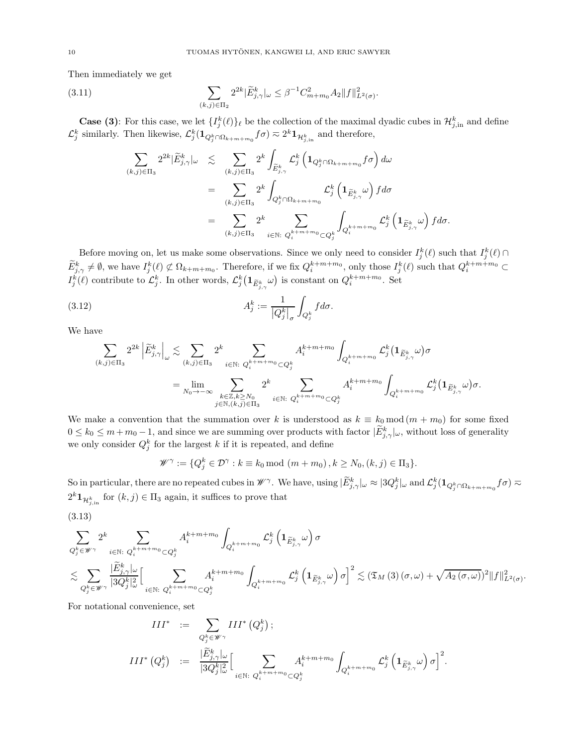Then immediately we get

(3.11) 
$$
\sum_{(k,j)\in\Pi_2} 2^{2k} |\widetilde{E}_{j,\gamma}^k|_{\omega} \leq \beta^{-1} C_{m+m_0}^2 A_2 \|f\|_{L^2(\sigma)}^2.
$$

**Case (3)**: For this case, we let  $\{I_j^k(\ell)\}\ell$  be the collection of the maximal dyadic cubes in  $\mathcal{H}_{j,\text{in}}^k$  and define  $\mathcal{L}_j^k$  similarly. Then likewise,  $\mathcal{L}_j^k(\mathbf{1}_{Q_j^k \cap \Omega_{k+m+m_0}} f\sigma) \eqsim 2^k \mathbf{1}_{\mathcal{H}_{j,\text{in}}^k}$  and therefore,

<span id="page-9-0"></span>
$$
\sum_{(k,j)\in\Pi_3} 2^{2k} |\widetilde{E}^k_{j,\gamma}|_{\omega} \leq \sum_{(k,j)\in\Pi_3} 2^k \int_{\widetilde{E}^k_{j,\gamma}} \mathcal{L}^k_j \left( \mathbf{1}_{Q^k_j \cap \Omega_{k+m+m_0}} f \sigma \right) d\omega \n= \sum_{(k,j)\in\Pi_3} 2^k \int_{Q^k_j \cap \Omega_{k+m+m_0}} \mathcal{L}^k_j \left( \mathbf{1}_{\widetilde{E}^k_{j,\gamma}} \omega \right) f d\sigma \n= \sum_{(k,j)\in\Pi_3} 2^k \sum_{i \in \mathbb{N}: Q^{k+m+m_0}_i \subset Q^k_j} \int_{Q^{k+m+m_0}_i} \mathcal{L}^k_j \left( \mathbf{1}_{\widetilde{E}^k_{j,\gamma}} \omega \right) f d\sigma.
$$

Before moving on, let us make some observations. Since we only need to consider  $I_j^k(\ell)$  such that  $I_j^k(\ell)$  $\widetilde{E}^k_{j,\gamma} \neq \emptyset$ , we have  $I^k_j(\ell) \not\subset \Omega_{k+m+m_0}$ . Therefore, if we fix  $Q_i^{k+m+m_0}$ , only those  $I^k_j(\ell)$  such that  $Q_i^{k+m+m_0} \subset$  $I_j^k(\ell)$  contribute to  $\mathcal{L}_j^k$ . In other words,  $\mathcal{L}_j^k(\mathbf{1}_{\widetilde{E}_{j,\gamma}^k}\omega)$  is constant on  $Q_i^{k+m+m_0}$ . Set

(3.12) 
$$
A_j^k := \frac{1}{|Q_j^k|_{\sigma}} \int_{Q_j^k} f d\sigma.
$$

We have

$$
\sum_{(k,j)\in\Pi_3} 2^{2k} \left| \widetilde{E}^k_{j,\gamma}\right|_{\omega} \lesssim \sum_{(k,j)\in\Pi_3} 2^k \sum_{i\in\mathbb{N}: Q_i^{k+m+m_0} \subset Q_j^k} A_i^{k+m+m_0} \int_{Q_i^{k+m+m_0}} \mathcal{L}_j^k(\mathbf{1}_{\widetilde{E}^k_{j,\gamma}}\omega) \sigma
$$
  

$$
= \lim_{N_0 \to -\infty} \sum_{\substack{k\in\mathbb{Z}, k\ge N_0\\j\in\mathbb{N}, (k,j)\in\Pi_3}} 2^k \sum_{i\in\mathbb{N}: Q_i^{k+m+m_0} \subset Q_j^k} A_i^{k+m+m_0} \int_{Q_i^{k+m+m_0}} \mathcal{L}_j^k(\mathbf{1}_{\widetilde{E}^k_{j,\gamma}}\omega) \sigma.
$$

We make a convention that the summation over k is understood as  $k \equiv k_0 \mod (m + m_0)$  for some fixed  $0 \leq k_0 \leq m+m_0-1$ , and since we are summing over products with factor  $|\widetilde{E}^k_{j,\gamma}|_{\omega}$ , without loss of generality we only consider  $Q_j^k$  for the largest k if it is repeated, and define

$$
\mathscr{W}^{\gamma} := \{Q_j^k \in \mathcal{D}^{\gamma} : k \equiv k_0 \bmod (m+m_0), k \ge N_0, (k,j) \in \Pi_3\}.
$$

So in particular, there are no repeated cubes in  $\mathscr{W}^{\gamma}$ . We have, using  $|\widetilde{E}^k_{j,\gamma}|_{\omega} \approx |3Q^k_j|_{\omega}$  and  $\mathcal{L}^k_j(\mathbf{1}_{Q^k_j\cap\Omega_{k+m+m_0}}f\sigma) \approx$  $2^k \mathbf{1}_{\mathcal{H}_{j,\text{in}}^k}$  for  $(k, j) \in \Pi_3$  again, it suffices to prove that

$$
(3.13)
$$

$$
\begin{split} & \sum_{Q_{j}^{k} \in \mathscr{W}^{\gamma}} 2^{k}\sum_{i \in \mathbb{N}: \ Q_{i}^{k+m+m_{0}} \subset Q_{j}^{k}} A_{i}^{k+m+m_{0}} \int_{Q_{i}^{k+m+m_{0}}} \mathcal{L}_{j}^{k}\left(\mathbf{1}_{\widetilde{E}_{j,\gamma}^{k}} \omega\right) \sigma \\ & \lesssim \sum_{Q_{j}^{k} \in \mathscr{W}^{\gamma}} \frac{|\widetilde{E}_{j,\gamma}^{k}|_{\omega}}{|3Q_{j}^{k}|^{2}_{\omega}}\Big[ \sum_{i \in \mathbb{N}: \ Q_{i}^{k+m+m_{0}} \subset Q_{j}^{k}} A_{i}^{k+m+m_{0}} \int_{Q_{i}^{k+m+m_{0}}} \mathcal{L}_{j}^{k}\left(\mathbf{1}_{\widetilde{E}_{j,\gamma}^{k}} \omega\right) \sigma \Big]^{2} \lesssim \left(\mathfrak{T}_{M}\left(3\right)(\sigma,\omega)+\sqrt{A_{2}\left(\sigma,\omega\right)}\right)^{2} \|f\|^{2}_{L^{2}(\sigma)}. \end{split}
$$

For notational convenience, set

$$
\begin{array}{rcl} III^* & := & \displaystyle \sum_{Q_j^k \in \mathscr{W}^\gamma} III^* \left( Q_j^k \right); \\ & & \\ III^* \left( Q_j^k \right) & := & \displaystyle \frac{|\widetilde{E}^k_{j,\gamma}|_\omega}{|3Q_j^k|_\omega^2} \Big[ \sum_{i \in \mathbb{N}: \ Q_i^{k+m+m_0} \subset Q_j^k} A_i^{k+m+m_0} \int_{Q_i^{k+m+m_0}} \mathcal{L}^k_j \left( \mathbf{1}_{\widetilde{E}^k_{j,\gamma}} \omega \right) \sigma \Big]^2. \end{array}
$$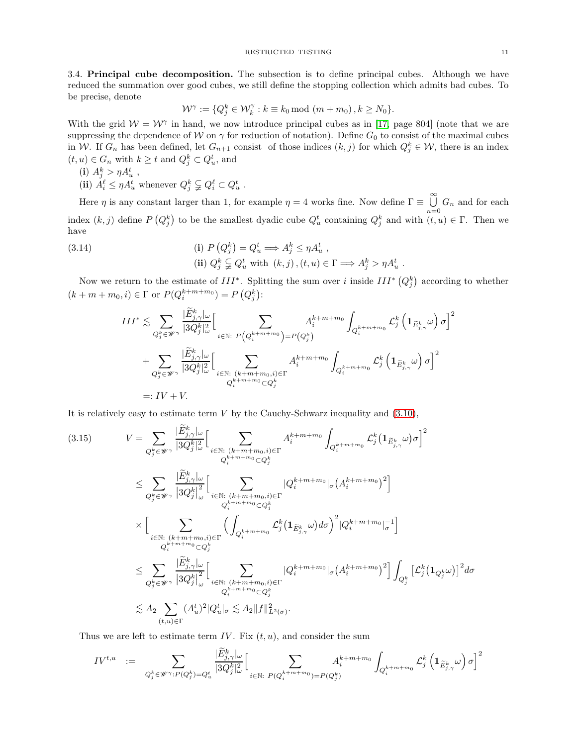3.4. Principal cube decomposition. The subsection is to define principal cubes. Although we have reduced the summation over good cubes, we still define the stopping collection which admits bad cubes. To be precise, denote

$$
\mathcal{W}^{\gamma} := \{Q_j^k \in \mathcal{W}_k^{\gamma} : k \equiv k_0 \bmod (m+m_0), k \ge N_0\}.
$$

With the grid  $W = W^{\gamma}$  in hand, we now introduce principal cubes as in [\[17,](#page-16-23) page 804] (note that we are suppressing the dependence of W on  $\gamma$  for reduction of notation). Define  $G_0$  to consist of the maximal cubes in W. If  $G_n$  has been defined, let  $G_{n+1}$  consist of those indices  $(k, j)$  for which  $Q_j^k \in W$ , there is an index  $(t, u) \in G_n$  with  $k \ge t$  and  $Q_j^k \subset Q_u^t$ , and

- (i)  $A_j^k > \eta A_u^t$ ,
- (ii)  $A_i^{\ell} \leq \eta A_u^t$  whenever  $Q_j^k \subsetneq Q_i^{\ell} \subset Q_u^t$ .

Here  $\eta$  is any constant larger than 1, for example  $\eta = 4$  works fine. Now define  $\Gamma \equiv \bigcup_{\alpha=0}^{\infty} G_n$  and for each  $n=0$ index  $(k, j)$  define  $P(Q_j^k)$  to be the smallest dyadic cube  $Q_u^t$  containing  $Q_j^k$  and with  $(t, u) \in \Gamma$ . Then we have

(3.14)   
\n(i) 
$$
P(Q_j^k) = Q_u^t \Longrightarrow A_j^k \le \eta A_u^t
$$
,  
\n(ii)  $Q_j^k \subsetneq Q_u^t$  with  $(k, j), (t, u) \in \Gamma \Longrightarrow A_j^k > \eta A_u^t$ .

Now we return to the estimate of  $III^*$ . Splitting the sum over i inside  $III^*$   $(Q_j^k)$  according to whether  $(k + m + m_0, i) \in \Gamma$  or  $P(Q_i^{k+m+m_0}) = P(Q_j^k)$ :

$$
III^{*} \lesssim \sum_{Q_{j}^{k} \in \mathscr{W}^{\gamma}} \frac{|\tilde{E}_{j,\gamma}^{k}|_{\omega}}{|3Q_{j}^{k}|_{\omega}^{2}} \Big[ \sum_{i \in \mathbb{N}: P\left(Q_{i}^{k+m+m_{0}}\right) = P\left(Q_{j}^{k}\right)} A_{i}^{k+m+m_{0}} \int_{Q_{i}^{k+m+m_{0}}} \mathcal{L}_{j}^{k}\left(\mathbf{1}_{\tilde{E}_{j,\gamma}^{k}}\omega\right) \sigma\Big]^{2} \newline + \sum_{Q_{j}^{k} \in \mathscr{W}^{\gamma}} \frac{|\tilde{E}_{j,\gamma}^{k}|_{\omega}}{|3Q_{j}^{k}|_{\omega}^{2}} \Big[ \sum_{i \in \mathbb{N}: (k+m+m_{0},i) \in \Gamma} A_{i}^{k+m+m_{0}} \int_{Q_{i}^{k+m+m_{0}}} \mathcal{L}_{j}^{k}\left(\mathbf{1}_{\tilde{E}_{j,\gamma}^{k}}\omega\right) \sigma\Big]^{2} \newline =: IV + V.
$$

It is relatively easy to estimate term  $V$  by the Cauchy-Schwarz inequality and  $(3.10)$ ,

<span id="page-10-0"></span>
$$
(3.15) \qquad V = \sum_{Q_j^k \in \mathscr{W}^\gamma} \frac{|\tilde{E}_{j,\gamma}^k|_\omega}{|3Q_j^k|_\omega^2} \Big[ \sum_{\substack{i \in \mathbb{N}: \ (k+m+m_0,i) \in \Gamma \\ Q_i^{k+m+m_0} \subset Q_j^k}} A_i^{k+m+m_0} \int_{Q_i^{k+m+m_0}} \mathcal{L}_j^k (\mathbf{1}_{\widetilde{E}_{j,\gamma}^k} \omega) \sigma \Big]^2
$$
  
\n
$$
\leq \sum_{Q_j^k \in \mathscr{W}^\gamma} \frac{|\tilde{E}_{j,\gamma}^k|_\omega}{|3Q_j^k|_\omega^2} \Big[ \sum_{\substack{i \in \mathbb{N}: \ (k+m+m_0,i) \in \Gamma \\ Q_i^{k+m+m_0} \subset Q_j^k}} \left|Q_i^{k+m+m_0}|\sigma(A_i^{k+m+m_0})^2\right]
$$
  
\n
$$
\times \Big[ \sum_{\substack{i \in \mathbb{N}: \ (k+m+m_0,i) \in \Gamma \\ Q_i^{k+m+m_0} \subset Q_j^k}} \left(\int_{Q_i^{k+m+m_0}} \mathcal{L}_j^k (\mathbf{1}_{\widetilde{E}_{j,\gamma}^k} \omega) d\sigma \right)^2 |Q_i^{k+m+m_0}|_\sigma^{-1} \Big]
$$
  
\n
$$
\leq \sum_{Q_j^k \in \mathscr{W}^\gamma} \frac{|\widetilde{E}_{j,\gamma}^k|_\omega}{|3Q_j^k|_\omega^2} \Big[ \sum_{\substack{i \in \mathbb{N}: \ (k+m+m_0,i) \in \Gamma \\ Q_i^{k+m+m_0} \subset Q_j^k}} |Q_i^{k+m+m_0}|_\sigma (A_i^{k+m+m_0})^2 \Big] \int_{Q_j^k} \left[ \mathcal{L}_j^k (\mathbf{1}_{Q_j^k} \omega) \right]^2 d\sigma
$$
  
\n
$$
\lesssim A_2 \sum_{(t,u) \in \Gamma} (A_u^t)^2 |Q_u^t|_\sigma \lesssim A_2 \|f\|_{L^2(\sigma)}^2.
$$

Thus we are left to estimate term IV. Fix  $(t, u)$ , and consider the sum

$$
IV^{t,u} \quad := \quad \sum_{Q_j^k \in \mathscr{W}^\gamma : P(Q_j^k) = Q_u^t} \frac{|\widetilde{E}_{j,\gamma}^k|_\omega}{|3Q_j^k|_\omega^2} \Big[ \sum_{i \in \mathbb{N}: \ P(Q_i^{k+m+m_0}) = P(Q_j^k)} A_i^{k+m+m_0} \int_{Q_i^{k+m+m_0}} \mathcal{L}_j^k \left(\mathbf{1}_{\widetilde{E}_{j,\gamma}^k} \omega\right) \sigma \Big]^2
$$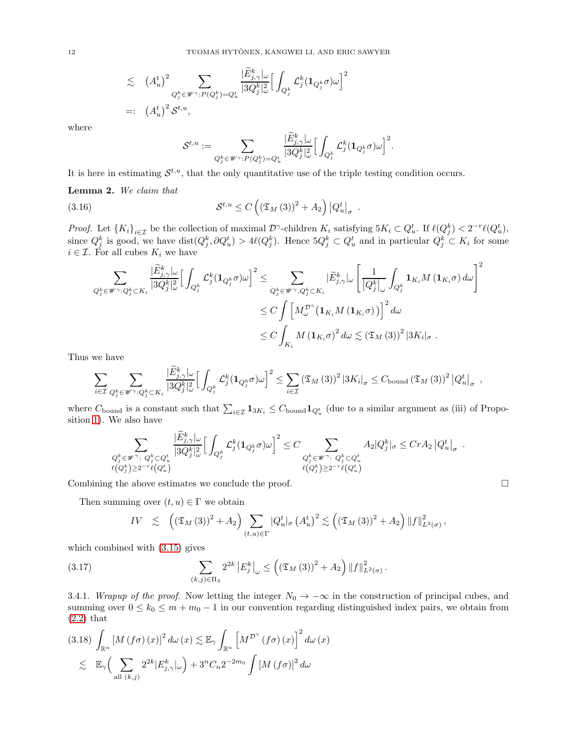$$
\lesssim (A_u^t)^2 \sum_{Q_j^k \in \mathscr{W}^\gamma : P(Q_j^k) = Q_u^t} \frac{|\dot{E}_{j,\gamma}^k|_\omega}{|3Q_j^k|_\omega^2} \Big[ \int_{Q_j^k} \mathcal{L}_j^k(\mathbf{1}_{Q_j^k} \sigma) \omega \Big]^2
$$
  
=:  $(A_u^t)^2 \mathcal{S}^{t,u}$ ,

where

$$
\mathcal{S}^{t,u}:=\sum_{Q_j^k\in \mathscr{W}^\gamma: P(Q_j^k)=Q_u^t}\frac{|\widetilde{E}^k_{j,\gamma}|_\omega}{|3Q_j^k|_\omega^2}\Big[\int_{Q_j^k}\mathcal{L}_j^k(\mathbf{1}_{Q_j^k}\sigma)\omega\Big]^2.
$$

It is here in estimating  $\mathcal{S}^{t,u}$ , that the only quantitative use of the triple testing condition occurs.

<span id="page-11-1"></span>Lemma 2. We claim that

(3.16) 
$$
\mathcal{S}^{t,u} \leq C \left( \left( \mathfrak{T}_M \left( 3 \right) \right)^2 + A_2 \right) \left| Q_u^t \right|_{\sigma} .
$$

Proof. Let  $\{K_i\}_{i\in\mathcal{I}}$  be the collection of maximal  $\mathcal{D}^{\gamma}$ -children  $K_i$  satisfying  $5K_i\subset Q_u^t$ . If  $\ell(Q_i^k)<2^{-r}\ell(Q_u^t)$ , since  $Q_j^k$  is good, we have  $dist(Q_j^k, \partial Q_u^t) > 4\ell(Q_j^k)$ . Hence  $5Q_j^k \subset Q_u^t$  and in particular  $Q_j^k \subset K_i$  for some  $i \in \mathcal{I}$ . For all cubes  $K_i$  we have

$$
\sum_{Q_j^k \in \mathscr{W}^\gamma : Q_j^k \subset K_i} \frac{|\widetilde{E}_{j,\gamma}^k|_\omega}{|3Q_j^k|_\omega^2} \Big[ \int_{Q_j^k} \mathcal{L}_j^k (\mathbf{1}_{Q_j^k} \sigma) \omega \Big]^2 \leq \sum_{Q_j^k \in \mathscr{W}^\gamma, Q_j^k \subset K_i} |\widetilde{E}_{j,\gamma}^k|_\omega \left[ \frac{1}{|Q_j^k|_\omega} \int_{Q_j^k} \mathbf{1}_{K_i} M(\mathbf{1}_{K_i} \sigma) d\omega \right]^2
$$
  

$$
\leq C \int \Big[ M_{\omega}^{\mathcal{D}^\gamma} (\mathbf{1}_{K_i} M(\mathbf{1}_{K_i} \sigma)) \Big]^2 d\omega
$$
  

$$
\leq C \int_{K_i} M(\mathbf{1}_{K_i} \sigma)^2 d\omega \lesssim (\mathfrak{T}_M (3))^2 |3K_i|_\sigma.
$$

Thus we have

$$
\sum_{i\in\mathcal{I}}\sum_{Q_j^k\in\mathscr{W}^\gamma: Q_j^k\subset K_i}\frac{|\widetilde{E}_{j,\gamma}^k|_\omega}{|3Q_j^k|_\omega^2}\Big[\int_{Q_j^k}\mathcal{L}_j^k(\mathbf{1}_{Q_j^k}\sigma)\omega\Big]^2\leq\sum_{i\in\mathcal{I}}\left(\mathfrak{T}_M\left(3\right)\right)^2\left|3K_i\right|_{\sigma}\leq C_{\text{bound}}\left(\mathfrak{T}_M\left(3\right)\right)^2\left|Q_u^t\right|_{\sigma},
$$

where  $C_{\text{bound}}$  is a constant such that  $\sum_{i\in\mathcal{I}}\mathbf{1}_{3K_i}\leq C_{\text{bound}}\mathbf{1}_{Q_u^t}$  (due to a similar argument as (iii) of Proposition [1\)](#page-4-1). We also have

$$
\sum_{\substack{Q_j^k \in \mathscr{W}^\gamma \colon Q_j^k \subset Q_u^t \\ \ell(Q_j^k) \geq 2^{-r} \ell(Q_u^t)}} \frac{|\widetilde{E}_{j,\gamma}^k|_\omega}{|3Q_j^k|_\omega^2} \Big[\int_{Q_j^k} \mathcal{L}_j^k(\mathbf{1}_{Q_j^k} \sigma) \omega \Big]^2 \leq C \sum_{\substack{Q_j^k \in \mathscr{W}^\gamma \colon Q_j^k \subset Q_u^t \\ \ell(Q_j^k) \geq 2^{-r} \ell(Q_u^t)}} A_2 |Q_j^k|_\sigma \leq C r A_2 \left|Q_u^t\right|_\sigma \;.
$$

Combining the above estimates we conclude the proof.  $\square$ 

Then summing over  $(t, u) \in \Gamma$  we obtain

<span id="page-11-0"></span>
$$
IV \leq \left( \left( \mathfrak{T}_{M} \left( 3 \right) \right)^{2} + A_{2} \right) \sum_{(t,u) \in \Gamma} |Q_{u}^{t}|_{\sigma} \left( A_{u}^{t} \right)^{2} \lesssim \left( \left( \mathfrak{T}_{M} \left( 3 \right) \right)^{2} + A_{2} \right) \| f \|_{L^{2}(\sigma)}^{2},
$$

which combined with [\(3.15\)](#page-10-0) gives

(3.17) 
$$
\sum_{(k,j)\in\Pi_3} 2^{2k} |E_j^k|_{\omega} \le ((\mathfrak{T}_M(3))^2 + A_2) \|f\|_{L^2(\sigma)}^2.
$$

3.4.1. Wrapup of the proof. Now letting the integer  $N_0 \rightarrow -\infty$  in the construction of principal cubes, and summing over  $0 \leq k_0 \leq m + m_0 - 1$  in our convention regarding distinguished index pairs, we obtain from [\(2.2\)](#page-4-0) that

$$
(3.18)\int_{\mathbb{R}^n} \left[M\left(f\sigma\right)(x)\right]^2 d\omega(x) \lesssim \mathbb{E}_{\gamma} \int_{\mathbb{R}^n} \left[M^{\mathcal{D}^{\gamma}}\left(f\sigma\right)(x)\right]^2 d\omega(x)
$$
  

$$
\lesssim \mathbb{E}_{\gamma} \Big(\sum_{\text{all } (k,j)} 2^{2k} |E^k_{j,\gamma}|_{\omega}\Big) + 3^n C_n 2^{-2m_0} \int \left[M\left(f\sigma\right)\right]^2 d\omega
$$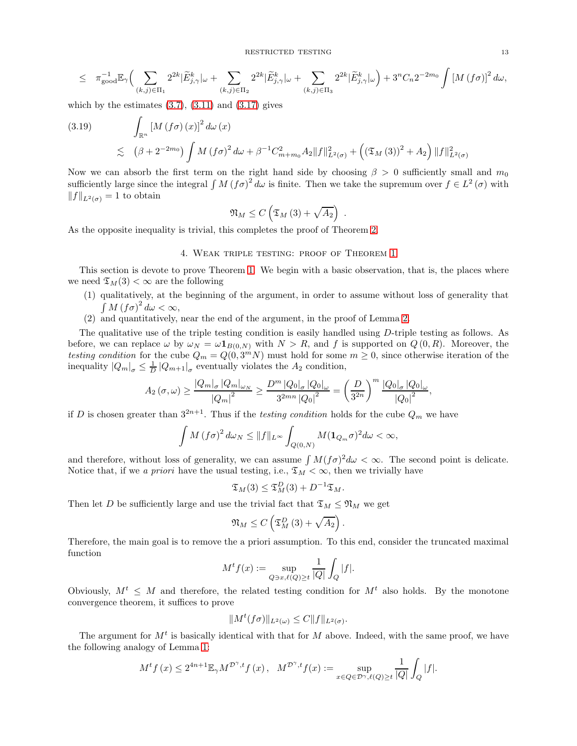RESTRICTED TESTING 13

$$
\leq \quad \pi_{\text{good}}^{-1} \mathbb{E}_{\gamma} \Big( \sum_{(k,j) \in \Pi_1} 2^{2k} |\widetilde{E}_{j,\gamma}^k|_{\omega} + \sum_{(k,j) \in \Pi_2} 2^{2k} |\widetilde{E}_{j,\gamma}^k|_{\omega} + \sum_{(k,j) \in \Pi_3} 2^{2k} |\widetilde{E}_{j,\gamma}^k|_{\omega} \Big) + 3^n C_n 2^{-2m_0} \int \left[ M(\mathfrak{f} \sigma) \right]^2 d\omega,
$$

which by the estimates  $(3.7)$ ,  $(3.11)$  and  $(3.17)$  gives

(3.19) 
$$
\int_{\mathbb{R}^n} [M(f\sigma)(x)]^2 d\omega(x)
$$
  
 
$$
\lesssim (\beta + 2^{-2m_0}) \int M(f\sigma)^2 d\omega + \beta^{-1} C_{m+m_0}^2 A_2 ||f||_{L^2(\sigma)}^2 + ((\mathfrak{T}_M(3))^2 + A_2) ||f||_{L^2(\sigma)}^2
$$

Now we can absorb the first term on the right hand side by choosing  $\beta > 0$  sufficiently small and  $m_0$ sufficiently large since the integral  $\int M (f\sigma)^2 d\omega$  is finite. Then we take the supremum over  $f \in L^2(\sigma)$  with  $||f||_{L^2(\sigma)} = 1$  to obtain

$$
\mathfrak{N}_M \leq C\left(\mathfrak{T}_M\left(3\right) + \sqrt{A_2}\right) \ .
$$

As the opposite inequality is trivial, this completes the proof of Theorem [2.](#page-3-1)

### 4. Weak triple testing: proof of Theorem [1](#page-2-1)

This section is devote to prove Theorem [1.](#page-2-1) We begin with a basic observation, that is, the places where we need  $\mathfrak{T}_M(3) < \infty$  are the following

- (1) qualitatively, at the beginning of the argument, in order to assume without loss of generality that  $\int M (f\sigma)^2 d\omega < \infty$ ,
- (2) and quantitatively, near the end of the argument, in the proof of Lemma [2.](#page-11-1)

The qualitative use of the triple testing condition is easily handled using D-triple testing as follows. As before, we can replace  $\omega$  by  $\omega_N = \omega \mathbf{1}_{B(0,N)}$  with  $N > R$ , and f is supported on  $Q(0,R)$ . Moreover, the testing condition for the cube  $Q_m = Q(0, 3^m N)$  must hold for some  $m \geq 0$ , since otherwise iteration of the inequality  $|Q_m|_{\sigma} \leq \frac{1}{D} |Q_{m+1}|_{\sigma}$  eventually violates the  $A_2$  condition,

$$
A_2(\sigma,\omega) \ge \frac{|Q_m|_{\sigma} |Q_m|_{\omega_N}}{|Q_m|^2} \ge \frac{D^m |Q_0|_{\sigma} |Q_0|_{\omega}}{3^{2mn} |Q_0|^2} = \left(\frac{D}{3^{2n}}\right)^m \frac{|Q_0|_{\sigma} |Q_0|_{\omega}}{|Q_0|^2},
$$

if D is chosen greater than  $3^{2n+1}$ . Thus if the *testing condition* holds for the cube  $Q_m$  we have

$$
\int M (f\sigma)^2 d\omega_N \leq ||f||_{L^{\infty}} \int_{Q(0,N)} M (\mathbf{1}_{Q_m} \sigma)^2 d\omega < \infty,
$$

and therefore, without loss of generality, we can assume  $\int M(f\sigma)^2 d\omega < \infty$ . The second point is delicate. Notice that, if we a priori have the usual testing, i.e.,  $\mathfrak{T}_M < \infty$ , then we trivially have

$$
\mathfrak{T}_M(3) \leq \mathfrak{T}_M^D(3) + D^{-1}\mathfrak{T}_M.
$$

Then let D be sufficiently large and use the trivial fact that  $\mathfrak{T}_M \leq \mathfrak{N}_M$  we get

$$
\mathfrak{N}_M \leq C\left(\mathfrak{T}_M^D\left(3\right) + \sqrt{A_2}\right).
$$

Therefore, the main goal is to remove the a priori assumption. To this end, consider the truncated maximal function

$$
M^t f(x):=\sup_{Q\ni x, \ell(Q)\geq t}\frac{1}{|Q|}\int_Q|f|.
$$

Obviously,  $M^t \leq M$  and therefore, the related testing condition for  $M^t$  also holds. By the monotone convergence theorem, it suffices to prove

$$
||M^t(f\sigma)||_{L^2(\omega)} \leq C||f||_{L^2(\sigma)}.
$$

The argument for  $M<sup>t</sup>$  is basically identical with that for M above. Indeed, with the same proof, we have the following analogy of Lemma [1:](#page-4-2)

$$
M^t f(x) \le 2^{4n+1} \mathbb{E}_{\gamma} M^{\mathcal{D}^{\gamma},t} f(x), \quad M^{\mathcal{D}^{\gamma},t} f(x) := \sup_{x \in Q \in \mathcal{D}^{\gamma}, \ell(Q) \ge t} \frac{1}{|Q|} \int_Q |f|.
$$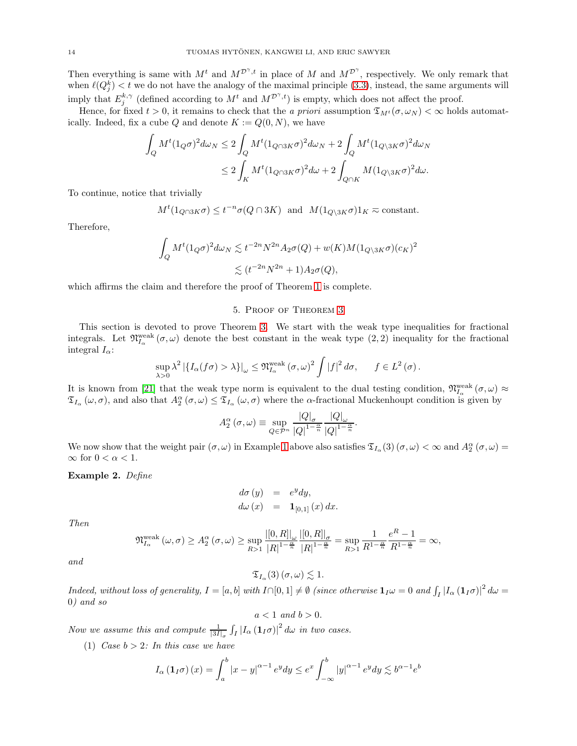Then everything is same with  $M^t$  and  $M^{\mathcal{D}^{\gamma},t}$  in place of M and  $M^{\mathcal{D}^{\gamma}}$ , respectively. We only remark that when  $\ell(Q_j^k) < t$  we do not have the analogy of the maximal principle [\(3.3\)](#page-7-1), instead, the same arguments will imply that  $E_j^{k,\gamma}$  (defined according to  $M^t$  and  $M^{\mathcal{D}^{\gamma},t}$ ) is empty, which does not affect the proof.

Hence, for fixed  $t > 0$ , it remains to check that the *a priori* assumption  $\mathfrak{T}_{M}$ <sup>t</sup> $(\sigma, \omega_N) < \infty$  holds automatically. Indeed, fix a cube Q and denote  $K := Q(0, N)$ , we have

$$
\begin{aligned} \int_Q M^t (\mathbf{1}_Q \sigma)^2 d\omega_N &\leq 2 \int_Q M^t (\mathbf{1}_{Q \cap 3K} \sigma)^2 d\omega_N + 2 \int_Q M^t (\mathbf{1}_{Q \backslash 3K} \sigma)^2 d\omega_N \\ &\leq 2 \int_K M^t (\mathbf{1}_{Q \cap 3K} \sigma)^2 d\omega + 2 \int_{Q \cap K} M (\mathbf{1}_{Q \backslash 3K} \sigma)^2 d\omega. \end{aligned}
$$

To continue, notice that trivially

$$
M^t(1_{Q \cap 3K}\sigma) \leq t^{-n}\sigma(Q \cap 3K)
$$
 and  $M(1_{Q \setminus 3K}\sigma)1_K \approx \text{constant}$ .

Therefore,

$$
\int_{Q} M^{t} (1_{Q}\sigma)^{2} d\omega_{N} \lesssim t^{-2n} N^{2n} A_{2}\sigma(Q) + w(K) M (1_{Q\setminus 3K}\sigma) (c_{K})^{2}
$$
  

$$
\lesssim (t^{-2n} N^{2n} + 1) A_{2}\sigma(Q),
$$

<span id="page-13-0"></span>which affirms the claim and therefore the proof of Theorem [1](#page-2-1) is complete.

### 5. Proof of Theorem [3](#page-3-2)

This section is devoted to prove Theorem [3.](#page-3-2) We start with the weak type inequalities for fractional integrals. Let  $\mathfrak{N}_{I_{\alpha}}^{\text{weak}}(\sigma,\omega)$  denote the best constant in the weak type  $(2,2)$  inequality for the fractional integral  $I_{\alpha}$ :

$$
\sup_{\lambda>0} \lambda^2 \left| \{ I_{\alpha}(f\sigma) > \lambda \} \right|_{\omega} \leq \mathfrak{N}_{I_{\alpha}}^{\mathrm{weak}}(\sigma, \omega)^2 \int |f|^2 d\sigma, \quad f \in L^2(\sigma).
$$

It is known from [\[21\]](#page-16-24) that the weak type norm is equivalent to the dual testing condition,  $\mathfrak{N}_{I_{\alpha}}^{\text{weak}}(\sigma,\omega) \approx$  $\mathfrak{T}_{I_{\alpha}}(\omega,\sigma)$ , and also that  $A_2^{\alpha}(\sigma,\omega) \leq \mathfrak{T}_{I_{\alpha}}(\omega,\sigma)$  where the  $\alpha$ -fractional Muckenhoupt condition is given by

$$
A_2^{\alpha}(\sigma,\omega) \equiv \sup_{Q \in \mathcal{P}^n} \frac{|Q|_{\sigma}}{|Q|^{1-\frac{\alpha}{n}}} \frac{|Q|_{\omega}}{|Q|^{1-\frac{\alpha}{n}}}.
$$

We now show that the weight pair  $(\sigma, \omega)$  in Example [1](#page-5-2) above also satisfies  $\mathfrak{T}_{I_{\alpha}}(3)$   $(\sigma, \omega) < \infty$  and  $A_2^{\alpha}(\sigma, \omega) =$  $\infty$  for  $0 < \alpha < 1$ .

Example 2. Define

$$
d\sigma (y) = e^y dy,
$$
  

$$
d\omega (x) = \mathbf{1}_{[0,1]}(x) dx
$$

Then

$$
\mathfrak{N}_{I_{\alpha}}^{\text{weak}}(\omega,\sigma) \ge A_2^{\alpha}(\sigma,\omega) \ge \sup_{R>1} \frac{|[0,R]|_{\omega}}{|R|^{1-\frac{\alpha}{n}}}\frac{|[0,R]|_{\sigma}}{|R|^{1-\frac{\alpha}{n}}} = \sup_{R>1} \frac{1}{R^{1-\frac{\alpha}{n}}}\frac{e^R - 1}{R^{1-\frac{\alpha}{n}}} = \infty,
$$

and

 $\mathfrak{T}_{I_{\alpha}}(3)\left(\sigma,\omega\right)\lesssim 1.$ 

 $Indeed, without loss of generality, I = [a, b] with I \cap [0, 1] \neq \emptyset$  (since otherwise  $\mathbf{1}_{I}\omega = 0$  and  $\int_{I} |I_{\alpha}(\mathbf{1}_{I}\sigma)|^{2} d\omega =$ 0) and so

 $a < 1$  and  $b > 0$ .

Now we assume this and compute  $\frac{1}{|3I|_{\sigma}} \int_I |I_{\alpha}(\mathbf{1}_I\sigma)|^2 d\omega$  in two cases.

(1) Case  $b > 2$ : In this case we have

$$
I_{\alpha}(\mathbf{1}_I\sigma)(x) = \int_a^b |x - y|^{\alpha - 1} e^y dy \le e^x \int_{-\infty}^b |y|^{\alpha - 1} e^y dy \lesssim b^{\alpha - 1} e^b
$$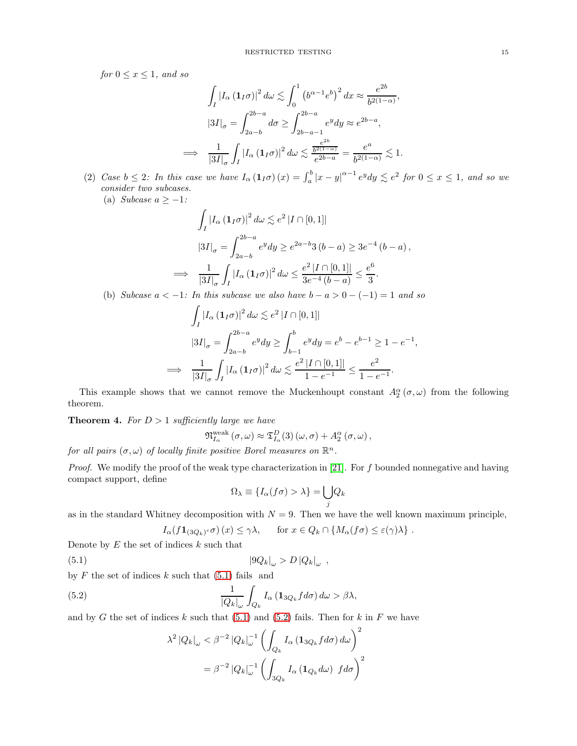for  $0 \leq x \leq 1$ , and so

$$
\int_{I} |I_{\alpha} (1_{I} \sigma)|^{2} d\omega \lesssim \int_{0}^{1} (b^{\alpha - 1} e^{b})^{2} dx \approx \frac{e^{2b}}{b^{2(1 - \alpha)}},
$$

$$
|3I|_{\sigma} = \int_{2a - b}^{2b - a} d\sigma \ge \int_{2b - a - 1}^{2b - a} e^{y} dy \approx e^{2b - a},
$$

$$
\Rightarrow \frac{1}{|3I|_{\sigma}} \int_{I} |I_{\alpha} (1_{I} \sigma)|^{2} d\omega \lesssim \frac{e^{2b}}{e^{2b - a}} = \frac{e^{a}}{b^{2(1 - \alpha)}} \lesssim 1.
$$

(2) Case  $b \leq 2$ : In this case we have  $I_{\alpha}(1_{I}\sigma)(x) = \int_{a}^{b} |x-y|^{\alpha-1} e^{y} dy \leq e^{2}$  for  $0 \leq x \leq 1$ , and so we consider two subcases.

(a) Subcase  $a \geq -1$ :

=⇒

$$
\int_{I} |I_{\alpha} (1_{I} \sigma)|^{2} d\omega \lesssim e^{2} |I \cap [0,1]|
$$
\n
$$
|3I|_{\sigma} = \int_{2a-b}^{2b-a} e^{y} dy \geq e^{2a-b} 3(b-a) \geq 3e^{-4} (b-a),
$$
\n
$$
\implies \frac{1}{|3I|_{\sigma}} \int_{I} |I_{\alpha} (1_{I} \sigma)|^{2} d\omega \leq \frac{e^{2} |I \cap [0,1]|}{3e^{-4} (b-a)} \leq \frac{e^{6}}{3}.
$$

(b) Subcase  $a < -1$ : In this subcase we also have  $b - a > 0 - (-1) = 1$  and so

$$
\int_{I} |I_{\alpha} (1_{I} \sigma)|^{2} d\omega \lesssim e^{2} |I \cap [0,1]|
$$
\n
$$
|3I|_{\sigma} = \int_{2a-b}^{2b-a} e^{y} dy \ge \int_{b-1}^{b} e^{y} dy = e^{b} - e^{b-1} \ge 1 - e^{-1},
$$
\n
$$
\implies \frac{1}{|3I|_{\sigma}} \int_{I} |I_{\alpha} (1_{I} \sigma)|^{2} d\omega \lesssim \frac{e^{2} |I \cap [0,1]|}{1 - e^{-1}} \le \frac{e^{2}}{1 - e^{-1}}.
$$

This example shows that we cannot remove the Muckenhoupt constant  $A_2^{\alpha}(\sigma,\omega)$  from the following theorem.

**Theorem 4.** For  $D > 1$  sufficiently large we have

$$
\mathfrak{N}_{I_{\alpha}}^{\text{weak}}\left(\sigma,\omega\right) \approx \mathfrak{T}_{I_{\alpha}}^{D}\left(3\right)\left(\omega,\sigma\right) + A_{2}^{\alpha}\left(\sigma,\omega\right),
$$

for all pairs  $(\sigma, \omega)$  of locally finite positive Borel measures on  $\mathbb{R}^n$ .

*Proof.* We modify the proof of the weak type characterization in [\[21\]](#page-16-24). For  $f$  bounded nonnegative and having compact support, define

<span id="page-14-0"></span>
$$
\Omega_{\lambda} \equiv \{I_{\alpha}(f\sigma) > \lambda\} = \bigcup_{j} Q_{k}
$$

as in the standard Whitney decomposition with  $N = 9$ . Then we have the well known maximum principle,

$$
I_{\alpha}(f\mathbf{1}_{(3Q_k)^c}\sigma)(x) \leq \gamma\lambda, \quad \text{for } x \in Q_k \cap \{M_{\alpha}(f\sigma) \leq \varepsilon(\gamma)\lambda\} .
$$

Denote by  $E$  the set of indices  $k$  such that

$$
(5.1) \t\t |9Q_k|_{\omega} > D |Q_k|_{\omega} ,
$$

by  $F$  the set of indices  $k$  such that  $(5.1)$  fails and

(5.2) 
$$
\frac{1}{|Q_k|_{\omega}} \int_{Q_k} I_{\alpha} \left( \mathbf{1}_{3Q_k} f d\sigma \right) d\omega > \beta \lambda,
$$

and by G the set of indices k such that  $(5.1)$  and  $(5.2)$  fails. Then for k in F we have

<span id="page-14-1"></span>
$$
\lambda^{2} |Q_{k}|_{\omega} < \beta^{-2} |Q_{k}|_{\omega}^{-1} \left( \int_{Q_{k}} I_{\alpha} \left( \mathbf{1}_{3Q_{k}} f d\sigma \right) d\omega \right)^{2}
$$

$$
= \beta^{-2} |Q_{k}|_{\omega}^{-1} \left( \int_{3Q_{k}} I_{\alpha} \left( \mathbf{1}_{Q_{k}} d\omega \right) f d\sigma \right)^{2}
$$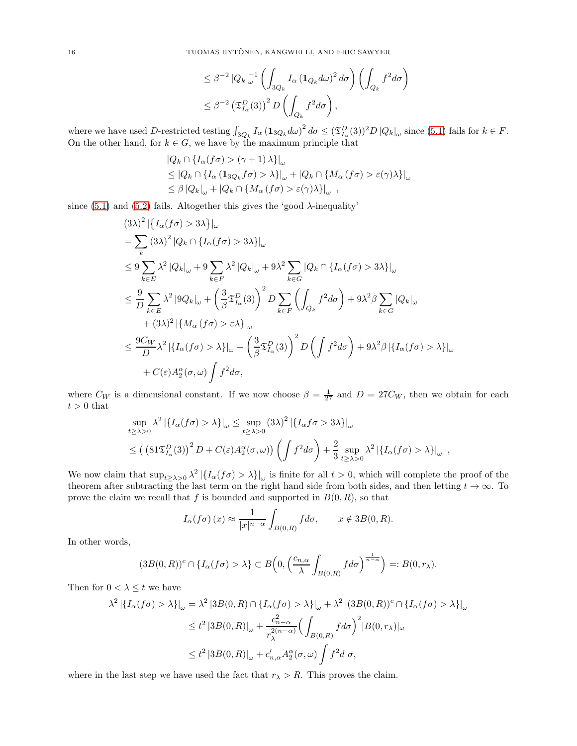$$
\leq \beta^{-2} \left| Q_k \right|_{\omega}^{-1} \left( \int_{3Q_k} I_{\alpha} \left( \mathbf{1}_{Q_k} d\omega \right)^2 d\sigma \right) \left( \int_{Q_k} f^2 d\sigma \right)
$$
  

$$
\leq \beta^{-2} \left( \mathfrak{T}_{I_{\alpha}}^D(3) \right)^2 D \left( \int_{Q_k} f^2 d\sigma \right),
$$

where we have used D-restricted testing  $\int_{3Q_k} I_\alpha (\mathbf{1}_{3Q_k} d\omega)^2 d\sigma \leq (\mathfrak{T}_{I_\alpha}^D(3))^2 D |Q_k|_\omega$  since [\(5.1\)](#page-14-0) fails for  $k \in F$ . On the other hand, for  $k \in G$ , we have by the maximum principle that

$$
|Q_k \cap \{I_\alpha(f\sigma) > (\gamma + 1)\lambda\}|_\omega
$$
  
\n
$$
\leq |Q_k \cap \{I_\alpha (\mathbf{1}_{3Q_k}f\sigma) > \lambda\}|_\omega + |Q_k \cap \{M_\alpha (f\sigma) > \varepsilon(\gamma)\lambda\}|_\omega
$$
  
\n
$$
\leq \beta |Q_k|_\omega + |Q_k \cap \{M_\alpha (f\sigma) > \varepsilon(\gamma)\lambda\}|_\omega,
$$

since  $(5.1)$  and  $(5.2)$  fails. Altogether this gives the 'good  $\lambda$ -inequality'

$$
(3\lambda)^{2} \left\{ I_{\alpha}(f\sigma) > 3\lambda \} \right\} \Big|_{\omega}
$$
  
=  $\sum_{k} (3\lambda)^{2} |Q_{k} \cap \{I_{\alpha}(f\sigma) > 3\lambda\}|_{\omega}$   
 $\leq 9 \sum_{k \in E} \lambda^{2} |Q_{k}|_{\omega} + 9 \sum_{k \in F} \lambda^{2} |Q_{k}|_{\omega} + 9\lambda^{2} \sum_{k \in G} |Q_{k} \cap \{I_{\alpha}(f\sigma) > 3\lambda\}|_{\omega}$   
 $\leq \frac{9}{D} \sum_{k \in E} \lambda^{2} |9Q_{k}|_{\omega} + \left(\frac{3}{\beta} \mathfrak{T}_{I_{\alpha}}^{D}(3)\right)^{2} D \sum_{k \in F} \left(\int_{Q_{k}} f^{2} d\sigma\right) + 9\lambda^{2} \beta \sum_{k \in G} |Q_{k}|_{\omega}$   
 $+ (3\lambda)^{2} \left\{ \{M_{\alpha}(f\sigma) > \varepsilon \lambda\} \right\} \Big|_{\omega}$   
 $\leq \frac{9C_{W}}{D} \lambda^{2} \left\{ \{I_{\alpha}(f\sigma) > \lambda\} \right\} \Big|_{\omega} + \left(\frac{3}{\beta} \mathfrak{T}_{I_{\alpha}}^{D}(3)\right)^{2} D \left(\int f^{2} d\sigma\right) + 9\lambda^{2} \beta \left\{ \{I_{\alpha}(f\sigma) > \lambda\} \right\} \Big|_{\omega}$   
 $+ C(\varepsilon) A_{2}^{\alpha}(\sigma, \omega) \int f^{2} d\sigma,$ 

where  $C_W$  is a dimensional constant. If we now choose  $\beta = \frac{1}{27}$  and  $D = 27C_W$ , then we obtain for each  $t > 0$  that

$$
\sup_{t \ge \lambda > 0} \lambda^2 | \{ I_{\alpha}(f\sigma) > \lambda \} |_{\omega} \le \sup_{t \ge \lambda > 0} (3\lambda)^2 | \{ I_{\alpha}f\sigma > 3\lambda \} |_{\omega}
$$
  
 
$$
\le \left( \left( 81 \mathfrak{T}_{I_{\alpha}}^D(3) \right)^2 D + C(\varepsilon) A_2^{\alpha}(\sigma, \omega) \right) \left( \int f^2 d\sigma \right) + \frac{2}{3} \sup_{t \ge \lambda > 0} \lambda^2 | \{ I_{\alpha}(f\sigma) > \lambda \} |_{\omega} ,
$$

We now claim that  $\sup_{t\geq \lambda>0} \lambda^2 |\{I_\alpha(f\sigma) > \lambda\}|_\omega$  is finite for all  $t > 0$ , which will complete the proof of the theorem after subtracting the last term on the right hand side from both sides, and then letting  $t \to \infty$ . To prove the claim we recall that f is bounded and supported in  $B(0, R)$ , so that

$$
I_{\alpha}(f\sigma)(x) \approx \frac{1}{|x|^{n-\alpha}} \int_{B(0,R)} f d\sigma, \qquad x \notin 3B(0,R).
$$

In other words,

$$
(3B(0,R))^c \cap \{I_{\alpha}(f\sigma) > \lambda\} \subset B\Big(0, \Big(\frac{c_{n,\alpha}}{\lambda} \int_{B(0,R)} f d\sigma\Big)^{\frac{1}{n-\alpha}}\Big) =: B(0,r_{\lambda}).
$$

Then for  $0 < \lambda \leq t$  we have

$$
\lambda^2 \left| \left\{ I_\alpha(f\sigma) > \lambda \right\} \right|_\omega = \lambda^2 \left| 3B(0,R) \cap \left\{ I_\alpha(f\sigma) > \lambda \right\} \right|_\omega + \lambda^2 \left| (3B(0,R))^c \cap \left\{ I_\alpha(f\sigma) > \lambda \right\} \right|_\omega
$$
  

$$
\leq t^2 \left| 3B(0,R) \right|_\omega + \frac{c_{n-\alpha}^2}{r_\lambda^{2(n-\alpha)}} \Big( \int_{B(0,R)} f d\sigma \Big)^2 |B(0,r_\lambda)|_\omega
$$
  

$$
\leq t^2 \left| 3B(0,R) \right|_\omega + c'_{n,\alpha} A_2^\alpha(\sigma,\omega) \int f^2 d\sigma,
$$

where in the last step we have used the fact that  $r_{\lambda} > R$ . This proves the claim.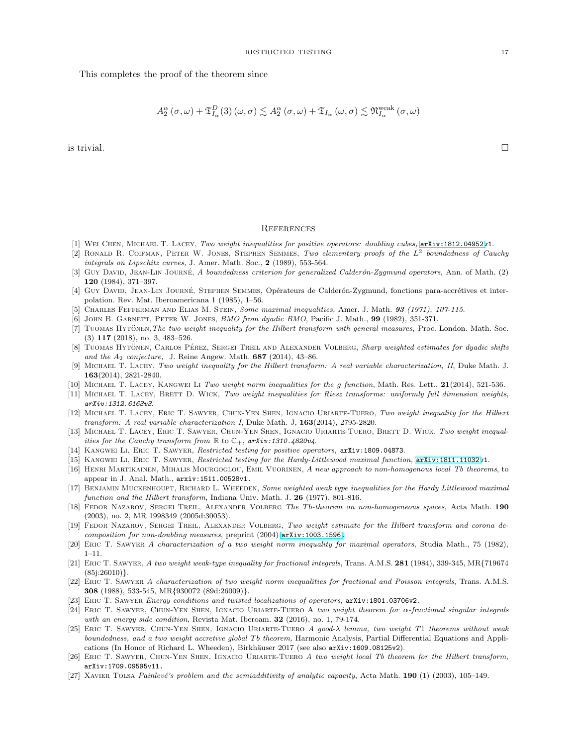This completes the proof of the theorem since

$$
A_{2}^{\alpha}\left(\sigma,\omega\right)+\mathfrak{T}_{I_{\alpha}}^{D}(3)\left(\omega,\sigma\right)\lesssim A_{2}^{\alpha}\left(\sigma,\omega\right)+\mathfrak{T}_{I_{\alpha}}\left(\omega,\sigma\right)\lesssim\mathfrak{N}_{I_{\alpha}}^{weak}\left(\sigma,\omega\right)
$$

is trivial.  $\square$ 

## **REFERENCES**

- <span id="page-16-21"></span><span id="page-16-13"></span>[1] Wei Chen, Michael T. Lacey, *Two weight inequalities for positive operators: doubling cubes,* [arXiv:1812.04952v](http://arxiv.org/abs/1812.04952)1.
- [2] Ronald R. Coifman, Peter W. Jones, Stephen Semmes, *Two elementary proofs of the* L<sup>2</sup> *boundedness of Cauchy integrals on Lipschitz curves,* J. Amer. Math. Soc., 2 (1989), 553-564.
- <span id="page-16-1"></span>[3] Guy David, Jean-Lin Journ´e, *A boundedness criterion for generalized Calder´on-Zygmund operators,* Ann. of Math. (2) 120 (1984), 371–397.
- <span id="page-16-2"></span>[4] GUY DAVID, JEAN-LIN JOURNÉ, STEPHEN SEMMES, Opérateurs de Calderón-Zygmund, fonctions para-accrétives et interpolation. Rev. Mat. Iberoamericana 1 (1985), 1–56.
- <span id="page-16-12"></span><span id="page-16-11"></span>[5] Charles Fefferman and Elias M. Stein, *Some maximal inequalities,* Amer. J. Math. 93 *(1971), 107-115.*
- <span id="page-16-8"></span>[6] John B. Garnett, Peter W. Jones, *BMO from dyadic BMO*, Pacific J. Math., 99 (1982), 351-371.
- [7] TUOMAS HYTONEN, The two weight inequality for the Hilbert transform with general measures, Proc. London. Math. Soc. (3) 117 (2018), no. 3, 483–526.
- <span id="page-16-22"></span>[8] TUOMAS HYTONEN, CARLOS PÉREZ, SERGEI TREIL AND ALEXANDER VOLBERG, *Sharp weighted estimates for dyadic shifts* and the A<sub>2</sub> conjecture, J. Reine Angew. Math. **687** (2014), 43-86.
- <span id="page-16-7"></span>[9] Michael T. Lacey, *Two weight inequality for the Hilbert transform: A real variable characterization, II*, Duke Math. J. 163(2014), 2821-2840.
- <span id="page-16-16"></span><span id="page-16-9"></span>[10] Michael T. Lacey, Kangwei Li *Two weight norm inequalities for the* g *function*, Math. Res. Lett., 21(2014), 521-536.
- <span id="page-16-6"></span>[11] MICHAEL T. LACEY, BRETT D. WICK, *Two weight inequalities for Riesz transforms: uniformly full dimension weights*, *arXiv:1312.6163v3*.
- [12] Michael T. Lacey, Eric T. Sawyer, Chun-Yen Shen, Ignacio Uriarte-Tuero, *Two weight inequality for the Hilbert transform: A real variable characterization I*, Duke Math. J, 163(2014), 2795-2820.
- <span id="page-16-17"></span>[13] Michael T. Lacey, Eric T. Sawyer, Chun-Yen Shen, Ignacio Uriarte-Tuero, Brett D. Wick, *Two weight inequalities for the Cauchy transform from*  $\mathbb R$  to  $\mathbb C_+$ ,  $arXiv:1310.4820v4$ .
- <span id="page-16-20"></span><span id="page-16-19"></span>[14] Kangwei Li, Eric T. Sawyer, *Restricted testing for positive operators,* arXiv:1809.04873.
- <span id="page-16-14"></span>[15] Kangwei Li, Eric T. Sawyer, *Restricted testing for the Hardy-Littlewood maximal function,* [arXiv:1811.11032v](http://arxiv.org/abs/1811.11032)1.
- [16] Henri Martikainen, Mihalis Mourgoglou, Emil Vuorinen, *A new approach to non-homogenous local Tb theorems*, to appear in J. Anal. Math., arxiv:1511.00528v1.
- <span id="page-16-23"></span>[17] BENJAMIN MUCKENHOUPT, RICHARD L. WHEEDEN, *Some weighted weak type inequalities for the Hardy Littlewood maximal function and the Hilbert transform*, Indiana Univ. Math. J. 26 (1977), 801-816.
- <span id="page-16-3"></span>[18] FEDOR NAZAROV, SERGEI TREIL, ALEXANDER VOLBERG *The Tb-theorem on non-homogeneous spaces*, Acta Math. 190 (2003), no. 2, MR 1998349 (2005d:30053).
- <span id="page-16-5"></span>[19] FEDOR NAZAROV, SERGEI TREIL, ALEXANDER VOLBERG, Two weight estimate for the Hilbert transform and corona de*composition for non-doubling measures*, preprint (2004) [arXiv:1003.1596.](http://arxiv.org/abs/1003.1596)
- <span id="page-16-24"></span><span id="page-16-0"></span>[20] Eric T. Sawyer *A characterization of a two weight norm inequality for maximal operators*, Studia Math., 75 (1982), 1–11.
- [21] Eric T. Sawyer, *A two weight weak-type inequality for fractional integrals*, Trans. A.M.S. 281 (1984), 339-345, MR{719674  $(85i:26010)$ .
- <span id="page-16-18"></span>[22] Eric T. Sawyer *A characterization of two weight norm inequalities for fractional and Poisson integrals*, Trans. A.M.S. 308 (1988), 533-545, MR{930072 (89d:26009)}.
- <span id="page-16-15"></span>[23] Eric T. Sawyer *Energy conditions and twisted localizations of operators,* arXiv:1801.03706v2.
- [24] Eric T. Sawyer, Chun-Yen Shen, Ignacio Uriarte-Tuero A *two weight theorem for* α*-fractional singular integrals with an energy side condition*, Revista Mat. Iberoam. 32 (2016), no. 1, 79-174.
- [25] Eric T. Sawyer, Chun-Yen Shen, Ignacio Uriarte-Tuero *A good-*λ *lemma, two weight* T1 *theorems without weak boundedness, and a two weight accretive global* Tb *theorem*, Harmonic Analysis, Partial Differential Equations and Applications (In Honor of Richard L. Wheeden), Birkhäuser 2017 (see also arXiv:1609.08125v2).
- <span id="page-16-10"></span>[26] Eric T. Sawyer, Chun-Yen Shen, Ignacio Uriarte-Tuero *A two weight local Tb theorem for the Hilbert transform,* arXiv:1709.09595v11.
- <span id="page-16-4"></span>[27] XAVIER TOLSA *Painlevé's problem and the semiadditivity of analytic capacity*, Acta Math. 190 (1) (2003), 105–149.